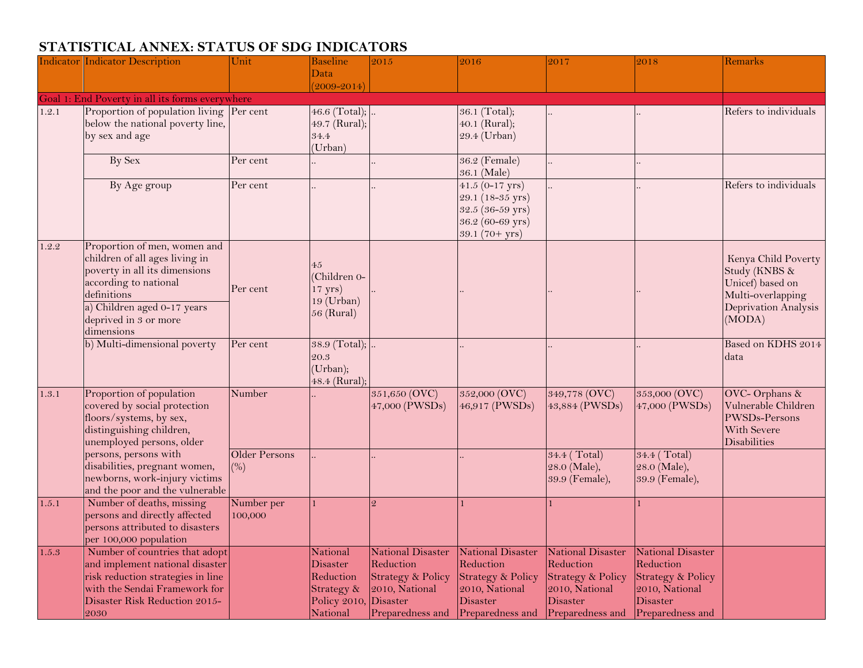## **STATISTICAL ANNEX: STATUS OF SDG INDICATORS**

|       | <b>Indicator Indicator Description</b>          | Unit                 | <b>Baseline</b>        | 2015                              | 2016                     | 2017                         | 2018                         | Remarks               |
|-------|-------------------------------------------------|----------------------|------------------------|-----------------------------------|--------------------------|------------------------------|------------------------------|-----------------------|
|       |                                                 |                      | Data                   |                                   |                          |                              |                              |                       |
|       |                                                 |                      | $(2009 - 2014)$        |                                   |                          |                              |                              |                       |
|       | Goal 1: End Poverty in all its forms everywhere |                      |                        |                                   |                          |                              |                              |                       |
| 1.2.1 | Proportion of population living Per cent        |                      | 46.6 (Total); $\ldots$ |                                   | 36.1 (Total);            |                              |                              | Refers to individuals |
|       | below the national poverty line,                |                      | 49.7 (Rural);          |                                   | 40.1 (Rural);            |                              |                              |                       |
|       | by sex and age                                  |                      | 34.4                   |                                   | 29.4 (Urban)             |                              |                              |                       |
|       |                                                 |                      | (Urban)                |                                   |                          |                              |                              |                       |
|       | By Sex                                          | Per cent             |                        |                                   | 36.2 (Female)            |                              |                              |                       |
|       |                                                 |                      |                        |                                   | 36.1 (Male)              |                              |                              |                       |
|       | By Age group                                    | Per cent             |                        |                                   | $41.5(0-17 \text{ yrs})$ |                              |                              | Refers to individuals |
|       |                                                 |                      |                        |                                   | 29.1 (18-35 yrs)         |                              |                              |                       |
|       |                                                 |                      |                        |                                   | 32.5 (36-59 yrs)         |                              |                              |                       |
|       |                                                 |                      |                        |                                   | 36.2 (60-69 yrs)         |                              |                              |                       |
|       |                                                 |                      |                        |                                   | $39.1(70+yrs)$           |                              |                              |                       |
| 1.2.2 | Proportion of men, women and                    |                      |                        |                                   |                          |                              |                              |                       |
|       | children of all ages living in                  |                      | 45                     |                                   |                          |                              |                              | Kenya Child Poverty   |
|       | poverty in all its dimensions                   |                      | (Children 0-           |                                   |                          |                              |                              | Study (KNBS &         |
|       | according to national                           | Per cent             | $17 \text{ yrs}$       |                                   |                          |                              |                              | Unicef) based on      |
|       | definitions                                     |                      | $19$ (Urban)           |                                   |                          |                              |                              | Multi-overlapping     |
|       | a) Children aged 0-17 years                     |                      | $56$ (Rural)           |                                   |                          |                              |                              | Deprivation Analysis  |
|       | deprived in 3 or more                           |                      |                        |                                   |                          |                              |                              | (MODA)                |
|       | dimensions                                      |                      |                        |                                   |                          |                              |                              |                       |
|       | b) Multi-dimensional poverty                    | Per cent             | 38.9 (Total);          |                                   |                          |                              |                              | Based on KDHS 2014    |
|       |                                                 |                      | 20.3                   |                                   |                          |                              |                              | data                  |
|       |                                                 |                      | (Urban);               |                                   |                          |                              |                              |                       |
|       |                                                 |                      | 48.4 (Rural);          |                                   |                          |                              |                              |                       |
| 1.3.1 | Proportion of population                        | Number               |                        | 351,650 (OVC)                     | 352,000 (OVC)            | 349,778 (OVC)                | 353,000 (OVC)                | OVC- Orphans &        |
|       | covered by social protection                    |                      |                        | 47,000 (PWSDs)                    | 46,917 (PWSDs)           | 43,884 (PWSDs)               | 47,000 (PWSDs)               | Vulnerable Children   |
|       | floors/systems, by sex,                         |                      |                        |                                   |                          |                              |                              | PWSDs-Persons         |
|       | distinguishing children,                        |                      |                        |                                   |                          |                              |                              | With Severe           |
|       | unemployed persons, older                       |                      |                        |                                   |                          |                              |                              | Disabilities          |
|       | persons, persons with                           | <b>Older Persons</b> |                        |                                   |                          | 34.4 (Total)                 | 34.4 (Total)                 |                       |
|       | disabilities, pregnant women,                   | (%)                  |                        |                                   |                          | 28.0 (Male),                 | 28.0 (Male),                 |                       |
|       | newborns, work-injury victims                   |                      |                        |                                   |                          | 39.9 (Female),               | 39.9 (Female),               |                       |
|       | and the poor and the vulnerable                 |                      |                        |                                   |                          |                              |                              |                       |
| 1.5.1 | Number of deaths, missing                       | Number per           |                        |                                   |                          |                              |                              |                       |
|       | persons and directly affected                   | 100,000              |                        |                                   |                          |                              |                              |                       |
|       | persons attributed to disasters                 |                      |                        |                                   |                          |                              |                              |                       |
|       | per 100,000 population                          |                      |                        |                                   |                          |                              |                              |                       |
| 1.5.3 | Number of countries that adopt                  |                      | <b>National</b>        | <b>National Disaster</b>          | National Disaster        | National Disaster            | National Disaster            |                       |
|       | and implement national disaster                 |                      | <b>Disaster</b>        | Reduction                         | Reduction                | Reduction                    | Reduction                    |                       |
|       | risk reduction strategies in line               |                      | Reduction              | <b>Strategy &amp; Policy</b>      | Strategy & Policy        | <b>Strategy &amp; Policy</b> | <b>Strategy &amp; Policy</b> |                       |
|       | with the Sendai Framework for                   |                      | Strategy &             | 2010, National                    | 2010, National           | 2010, National               | 2010, National               |                       |
|       | Disaster Risk Reduction 2015-                   |                      | Policy 2010, Disaster  |                                   | Disaster                 | <b>Disaster</b>              | <b>Disaster</b>              |                       |
|       | 2030                                            |                      | National               | Preparedness and Preparedness and |                          | Preparedness and             | Preparedness and             |                       |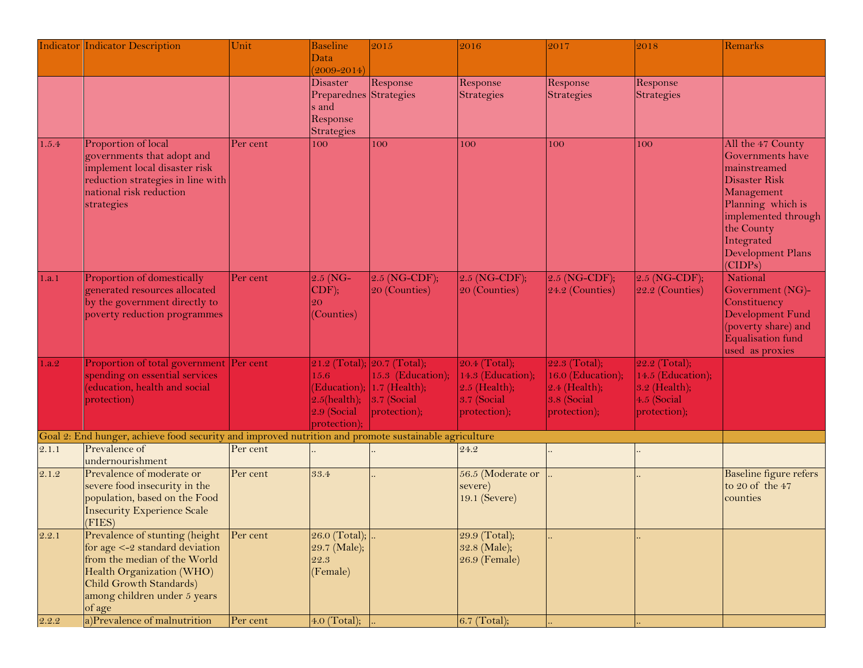|       | <b>Indicator Indicator Description</b>                                                                                                                                                                   | Unit     | Baseline<br>Data                                                         | 2015                                                                                               | 2016                                                                                   | 2017                                                                                    | 2018                                                                               | Remarks                                                                                                                                                                                      |
|-------|----------------------------------------------------------------------------------------------------------------------------------------------------------------------------------------------------------|----------|--------------------------------------------------------------------------|----------------------------------------------------------------------------------------------------|----------------------------------------------------------------------------------------|-----------------------------------------------------------------------------------------|------------------------------------------------------------------------------------|----------------------------------------------------------------------------------------------------------------------------------------------------------------------------------------------|
|       |                                                                                                                                                                                                          |          | $(2009 - 2014)$                                                          |                                                                                                    |                                                                                        |                                                                                         |                                                                                    |                                                                                                                                                                                              |
|       |                                                                                                                                                                                                          |          | Disaster<br>Preparednes Strategies<br>s and<br>Response<br>Strategies    | Response                                                                                           | Response<br>Strategies                                                                 | Response<br>Strategies                                                                  | Response<br><b>Strategies</b>                                                      |                                                                                                                                                                                              |
| 1.5.4 | Proportion of local<br>governments that adopt and<br>implement local disaster risk<br>reduction strategies in line with<br>national risk reduction<br>strategies                                         | Per cent | 100                                                                      | 100                                                                                                | 100                                                                                    | 100                                                                                     | 100                                                                                | All the 47 County<br>Governments have<br>mainstreamed<br>Disaster Risk<br>Management<br>Planning which is<br>implemented through<br>the County<br>Integrated<br>Development Plans<br>(CIDPs) |
| 1.a.1 | Proportion of domestically<br>generated resources allocated<br>by the government directly to<br>poverty reduction programmes                                                                             | Per cent | $2.5$ (NG-<br>$\vert$ CDF);<br>20<br>(Counties)                          | $2.5$ (NG-CDF);<br>20 (Counties)                                                                   | $2.5$ (NG-CDF);<br>20 (Counties)                                                       | $2.5$ (NG-CDF);<br>24.2 (Counties)                                                      | $2.5$ (NG-CDF);<br>22.2 (Counties)                                                 | National<br>Government (NG)-<br>Constituency<br>Development Fund<br>(poverty share) and<br>Equalisation fund<br>used as proxies                                                              |
| 1.a.2 | Proportion of total government Per cent<br>spending on essential services<br>education, health and social<br>protection)                                                                                 |          | 15.6<br>(Education);<br>$2.5$ (health);<br>$2.9$ (Social<br>protection): | 21.2 (Total); 20.7 (Total);<br>15.3 (Education);<br>$1.7$ (Health);<br>3.7 (Social<br>protection); | $20.4$ (Total);<br>14.3 (Education);<br>$2.5$ (Health);<br>3.7 (Social<br>protection); | 22.3 (Total);<br>16.0 (Education);<br>$2.4$ (Health);<br>$3.8$ (Social)<br>protection); | 22.2 (Total);<br>14.5 (Education);<br>3.2 (Health);<br>4.5 (Social<br>protection); |                                                                                                                                                                                              |
|       | Goal 2: End hunger, achieve food security and improved nutrition and promote sustainable agriculture                                                                                                     |          |                                                                          |                                                                                                    |                                                                                        |                                                                                         |                                                                                    |                                                                                                                                                                                              |
| 2.1.1 | Prevalence of<br>undernourishment                                                                                                                                                                        | Per cent |                                                                          |                                                                                                    | 24.2                                                                                   |                                                                                         |                                                                                    |                                                                                                                                                                                              |
| 2.1.2 | Prevalence of moderate or<br>severe food insecurity in the<br>population, based on the Food<br><b>Insecurity Experience Scale</b><br>(FIES)                                                              | Per cent | 33.4                                                                     |                                                                                                    | 56.5 (Moderate or<br>severe)<br>19.1 (Severe)                                          |                                                                                         |                                                                                    | <b>Baseline figure refers</b><br>to 20 of the 47<br>counties                                                                                                                                 |
| 2.2.1 | Prevalence of stunting (height<br>for age $\leq -2$ standard deviation<br>from the median of the World<br>Health Organization (WHO)<br>Child Growth Standards)<br>among children under 5 years<br>of age | Per cent | 26.0 (Total); $\left   \right $<br>29.7 (Male);<br>22.3<br>(Female)      |                                                                                                    | 29.9 (Total);<br>32.8 (Male);<br>$26.9$ (Female)                                       |                                                                                         |                                                                                    |                                                                                                                                                                                              |
| 2.2.2 | a)Prevalence of malnutrition                                                                                                                                                                             | Per cent | 4.0 (Total);                                                             |                                                                                                    | 6.7 (Total);                                                                           |                                                                                         |                                                                                    |                                                                                                                                                                                              |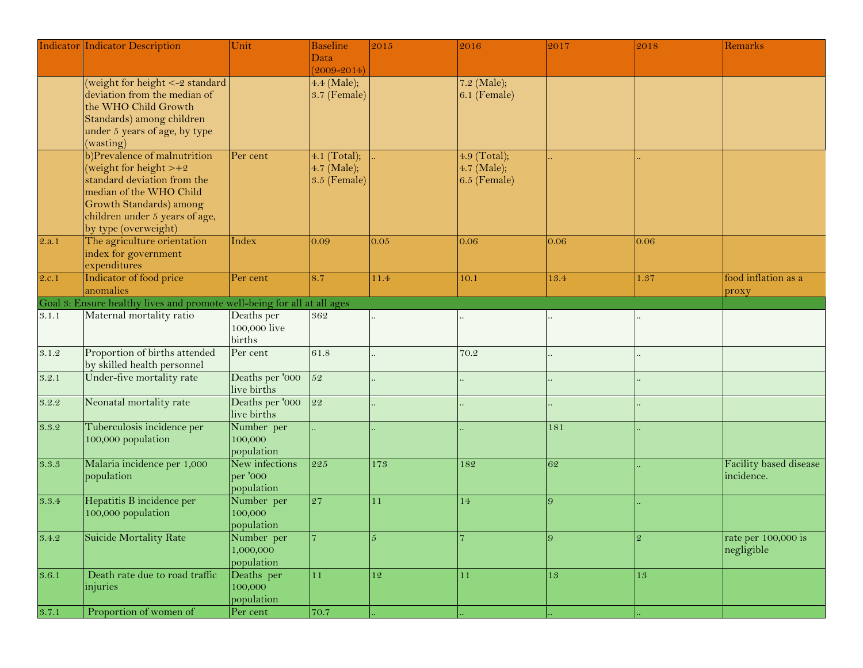|       | Indicator Indicator Description                                         | Unit                           | <b>Baseline</b> | 2015 | 2016           | 2017           | 2018           | Remarks                       |
|-------|-------------------------------------------------------------------------|--------------------------------|-----------------|------|----------------|----------------|----------------|-------------------------------|
|       |                                                                         |                                | Data            |      |                |                |                |                               |
|       |                                                                         |                                | $(2009 - 2014)$ |      |                |                |                |                               |
|       | (weight for height <- 2 standard                                        |                                | 4.4 (Male);     |      | 7.2 (Male);    |                |                |                               |
|       | deviation from the median of                                            |                                | 3.7 (Female)    |      | $6.1$ (Female) |                |                |                               |
|       | the WHO Child Growth                                                    |                                |                 |      |                |                |                |                               |
|       | Standards) among children                                               |                                |                 |      |                |                |                |                               |
|       | under 5 years of age, by type                                           |                                |                 |      |                |                |                |                               |
|       | (wasting)                                                               |                                |                 |      |                |                |                |                               |
|       | b)Prevalence of malnutrition                                            | Per cent                       | 4.1 (Total);    |      | 4.9 (Total);   |                |                |                               |
|       | (weight for height $> +2$                                               |                                | 4.7 (Male);     |      | 4.7 (Male);    |                |                |                               |
|       | standard deviation from the                                             |                                | 3.5 (Female)    |      | $6.5$ (Female) |                |                |                               |
|       | median of the WHO Child                                                 |                                |                 |      |                |                |                |                               |
|       | Growth Standards) among                                                 |                                |                 |      |                |                |                |                               |
|       | children under 5 years of age,                                          |                                |                 |      |                |                |                |                               |
|       | by type (overweight)                                                    |                                |                 |      |                |                |                |                               |
| 2.a.1 | The agriculture orientation                                             | Index                          | 0.09            | 0.05 | 0.06           | 0.06           | 0.06           |                               |
|       | index for government                                                    |                                |                 |      |                |                |                |                               |
|       | expenditures                                                            |                                |                 |      |                |                |                |                               |
| 2.c.1 | Indicator of food price                                                 | Per cent                       | 8.7             | 11.4 | 10.1           | 13.4           | 1.37           | food inflation as a           |
|       | anomalies                                                               |                                |                 |      |                |                |                | proxy                         |
|       | Goal 3: Ensure healthy lives and promote well-being for all at all ages |                                |                 |      |                |                |                |                               |
| 3.1.1 | Maternal mortality ratio                                                | Deaths per                     | 362             |      |                |                |                |                               |
|       |                                                                         | 100,000 live                   |                 |      |                |                |                |                               |
|       |                                                                         | births                         |                 |      |                |                |                |                               |
| 3.1.2 | Proportion of births attended                                           | Per cent                       | 61.8            |      | 70.2           |                |                |                               |
|       | by skilled health personnel                                             |                                |                 |      |                |                |                |                               |
| 3.2.1 | Under-five mortality rate                                               | Deaths per '000                | $\overline{52}$ |      |                |                |                |                               |
|       |                                                                         | live births                    |                 |      |                |                |                |                               |
|       |                                                                         |                                | 22              |      |                |                |                |                               |
| 3.2.2 | Neonatal mortality rate                                                 | Deaths per '000<br>live births |                 |      |                |                |                |                               |
|       |                                                                         |                                |                 |      |                |                |                |                               |
| 3.3.2 | Tuberculosis incidence per                                              | Number per                     |                 |      |                | 181            |                |                               |
|       | 100,000 population                                                      | 100,000                        |                 |      |                |                |                |                               |
|       |                                                                         | population                     |                 |      |                |                |                |                               |
| 3.3.3 | Malaria incidence per 1,000                                             | New infections                 | 225             | 173  | 182            | 62             |                | <b>Facility</b> based disease |
|       | population                                                              | per '000                       |                 |      |                |                |                | incidence.                    |
|       |                                                                         | population                     |                 |      |                |                |                |                               |
| 3.3.4 | Hepatitis B incidence per                                               | Number per                     | $\overline{27}$ | 11   | 14             | $\overline{Q}$ |                |                               |
|       | 100,000 population                                                      | 100,000                        |                 |      |                |                |                |                               |
|       |                                                                         | population                     |                 |      |                |                |                |                               |
| 3.4.2 | <b>Suicide Mortality Rate</b>                                           | Number per                     |                 | 5    |                | 9              | $\mathfrak{D}$ | rate per 100,000 is           |
|       |                                                                         | 1,000,000                      |                 |      |                |                |                | negligible                    |
|       |                                                                         | population                     |                 |      |                |                |                |                               |
| 3.6.1 | Death rate due to road traffic                                          | Deaths per                     | 11              | 12   | 11             | 13             | 13             |                               |
|       | injuries                                                                | 100,000                        |                 |      |                |                |                |                               |
|       |                                                                         | population                     |                 |      |                |                |                |                               |
| 3.7.1 | Proportion of women of                                                  | Per cent                       | 70.7            |      |                |                |                |                               |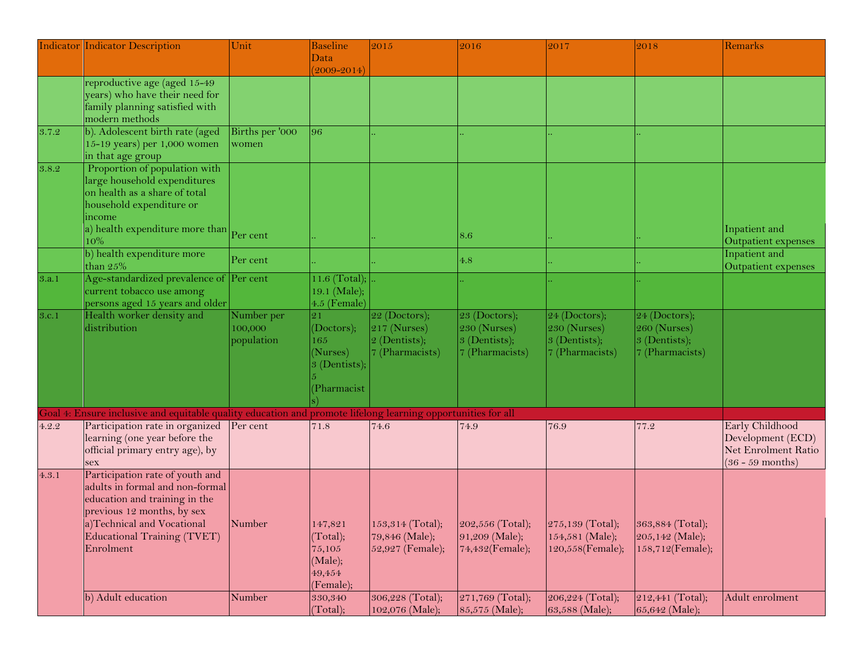|       | <b>Indicator Indicator Description</b>                                                                       | Unit            | <b>Baseline</b>              | 2015             | 2016               | 2017                                                                                   | 2018             | Remarks             |
|-------|--------------------------------------------------------------------------------------------------------------|-----------------|------------------------------|------------------|--------------------|----------------------------------------------------------------------------------------|------------------|---------------------|
|       |                                                                                                              |                 | Data                         |                  |                    |                                                                                        |                  |                     |
|       |                                                                                                              |                 | $(2009 - 2014)$              |                  |                    |                                                                                        |                  |                     |
|       | reproductive age (aged 15-49                                                                                 |                 |                              |                  |                    |                                                                                        |                  |                     |
|       | years) who have their need for                                                                               |                 |                              |                  |                    |                                                                                        |                  |                     |
|       | family planning satisfied with<br>modern methods                                                             |                 |                              |                  |                    |                                                                                        |                  |                     |
| 3.7.2 | b). Adolescent birth rate (aged                                                                              | Births per '000 | 96                           |                  |                    |                                                                                        |                  |                     |
|       | 15-19 years) per 1,000 women                                                                                 | women           |                              |                  |                    |                                                                                        |                  |                     |
|       | in that age group                                                                                            |                 |                              |                  |                    |                                                                                        |                  |                     |
| 3.8.2 | Proportion of population with                                                                                |                 |                              |                  |                    |                                                                                        |                  |                     |
|       | large household expenditures                                                                                 |                 |                              |                  |                    |                                                                                        |                  |                     |
|       | on health as a share of total                                                                                |                 |                              |                  |                    |                                                                                        |                  |                     |
|       | household expenditure or                                                                                     |                 |                              |                  |                    |                                                                                        |                  |                     |
|       | ncome                                                                                                        |                 |                              |                  |                    |                                                                                        |                  |                     |
|       | a) health expenditure more than $P_{\text{Per cent}}$                                                        |                 |                              |                  | 8.6                |                                                                                        |                  | Inpatient and       |
|       | 10%                                                                                                          |                 |                              |                  |                    |                                                                                        |                  | Outpatient expenses |
|       | b) health expenditure more                                                                                   | Per cent        |                              |                  | $4.8\,$            |                                                                                        |                  | Inpatient and       |
|       | than $25%$                                                                                                   |                 |                              |                  |                    |                                                                                        |                  | Outpatient expenses |
| 3.a.1 | Age-standardized prevalence of Per cent                                                                      |                 | 11.6 (Total);                |                  |                    |                                                                                        |                  |                     |
|       | current tobacco use among<br>persons aged 15 years and older                                                 |                 | 19.1 (Male);<br>4.5 (Female) |                  |                    |                                                                                        |                  |                     |
| 3.c.1 | Health worker density and                                                                                    | Number per      | 21                           | 22 (Doctors);    | $23$ (Doctors);    | $24$ (Doctors);                                                                        | 24 (Doctors);    |                     |
|       | distribution                                                                                                 | 100,000         | (Doctors);                   | $217$ (Nurses)   | 230 (Nurses)       | $230$ (Nurses)                                                                         | 260 (Nurses)     |                     |
|       |                                                                                                              | population      | 165                          | 2 (Dentists);    | 3 (Dentists);      | $ 3$ (Dentists);                                                                       | 3 (Dentists);    |                     |
|       |                                                                                                              |                 | (Nurses)                     | 7 (Pharmacists)  | 7 (Pharmacists)    | 7 (Pharmacists)                                                                        | 7 (Pharmacists)  |                     |
|       |                                                                                                              |                 | 3 (Dentists);                |                  |                    |                                                                                        |                  |                     |
|       |                                                                                                              |                 |                              |                  |                    |                                                                                        |                  |                     |
|       |                                                                                                              |                 | Pharmacist                   |                  |                    |                                                                                        |                  |                     |
|       |                                                                                                              |                 |                              |                  |                    |                                                                                        |                  |                     |
|       | Goal 4: Ensure inclusive and equitable quality education and promote lifelong learning opportunities for all |                 |                              |                  |                    |                                                                                        |                  |                     |
| 4.2.2 | Participation rate in organized Per cent                                                                     |                 | 71.8                         | 74.6             | 74.9               | 76.9                                                                                   | 77.2             | Early Childhood     |
|       | learning (one year before the                                                                                |                 |                              |                  |                    |                                                                                        |                  | Development (ECD)   |
|       | official primary entry age), by                                                                              |                 |                              |                  |                    |                                                                                        |                  | Net Enrolment Ratio |
|       | sex                                                                                                          |                 |                              |                  |                    |                                                                                        |                  | $(36 - 59$ months)  |
| 4.3.1 | Participation rate of youth and                                                                              |                 |                              |                  |                    |                                                                                        |                  |                     |
|       | adults in formal and non-formal                                                                              |                 |                              |                  |                    |                                                                                        |                  |                     |
|       | education and training in the                                                                                |                 |                              |                  |                    |                                                                                        |                  |                     |
|       | previous 12 months, by sex                                                                                   |                 |                              |                  |                    |                                                                                        |                  |                     |
|       | a)Technical and Vocational<br>Educational Training (TVET)                                                    | Number          | 147,821<br>(Total);          | 79,846 (Male);   | $91,209$ (Male);   | 153,314 (Total); 202,556 (Total); 275,139 (Total); 363,884 (Total);<br>154,581 (Male); | 205,142 (Male);  |                     |
|       | Enrolment                                                                                                    |                 | 75,105                       | 52,927 (Female); | $74,432$ (Female); | 120,558(Female);                                                                       | 158,712(Female); |                     |
|       |                                                                                                              |                 | (Male);                      |                  |                    |                                                                                        |                  |                     |
|       |                                                                                                              |                 | 49,454                       |                  |                    |                                                                                        |                  |                     |
|       |                                                                                                              |                 | (Female);                    |                  |                    |                                                                                        |                  |                     |
|       | b) Adult education                                                                                           | Number          | 330,340                      | 306,228 (Total); | 271,769 (Total);   | 206,224 (Total);                                                                       | 212,441 (Total); | Adult enrolment     |
|       |                                                                                                              |                 | (Total);                     | 102,076 (Male);  | $85,575$ (Male);   | 63,588 (Male);                                                                         | 65,642 (Male);   |                     |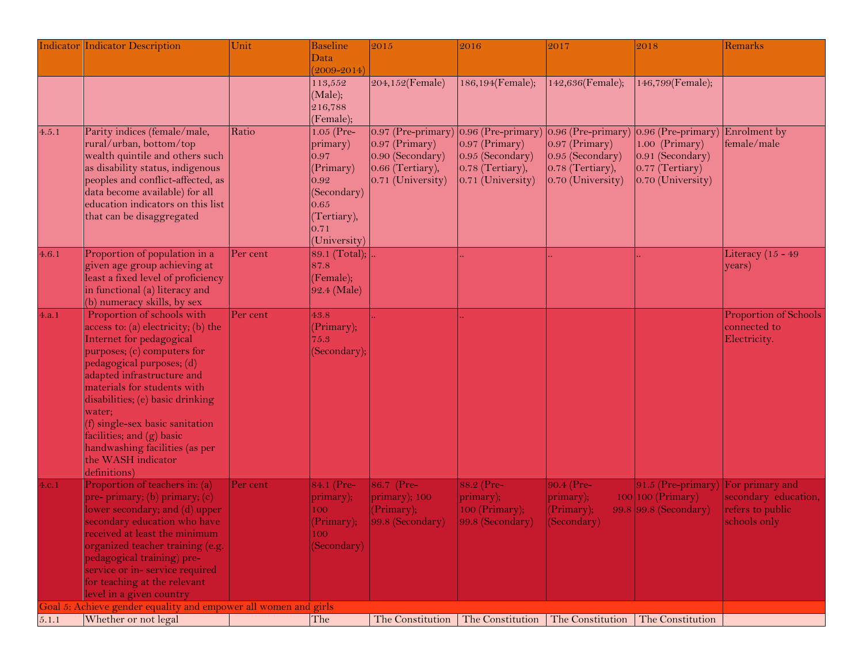|        | <b>Indicator Indicator Description</b>                          | Unit     | <b>Baseline</b> | 2015                 | 2016                 | 2017               | 2018                               | Remarks               |
|--------|-----------------------------------------------------------------|----------|-----------------|----------------------|----------------------|--------------------|------------------------------------|-----------------------|
|        |                                                                 |          | Data            |                      |                      |                    |                                    |                       |
|        |                                                                 |          | $(2009 - 2014)$ |                      |                      |                    |                                    |                       |
|        |                                                                 |          | 113,552         | 204,152(Female)      | 186,194(Female);     | 142,636(Female);   | 146,799(Female);                   |                       |
|        |                                                                 |          | (Male);         |                      |                      |                    |                                    |                       |
|        |                                                                 |          | 216,788         |                      |                      |                    |                                    |                       |
|        |                                                                 |          | (Female);       |                      |                      |                    |                                    |                       |
| 4.5.1  | Parity indices (female/male,                                    | Ratio    | $1.05$ (Pre-    | $0.97$ (Pre-primary) | $0.96$ (Pre-primary) | 0.96 (Pre-primary) | $0.96$ (Pre-primary) Enrolment by  |                       |
|        | rural/urban, bottom/top                                         |          | primary)        | $0.97$ (Primary)     | $0.97$ (Primary)     | $0.97$ (Primary)   | 1.00 (Primary)                     | female/male           |
|        | wealth quintile and others such                                 |          | 0.97            | 0.90 (Secondary)     | 0.95 (Secondary)     | 0.95 (Secondary)   | 0.91 (Secondary)                   |                       |
|        | as disability status, indigenous                                |          | (Primary)       | 0.66 (Tertiary),     | 0.78 (Tertiary),     | 0.78 (Tertiary),   | 0.77 (Tertiary)                    |                       |
|        | peoples and conflict-affected, as                               |          | 0.92            | 0.71 (University)    | 0.71 (University)    | 0.70 (University)  | 0.70 (University)                  |                       |
|        | data become available) for all                                  |          | (Secondary)     |                      |                      |                    |                                    |                       |
|        | education indicators on this list                               |          | 0.65            |                      |                      |                    |                                    |                       |
|        | that can be disaggregated                                       |          | (Tertiary),     |                      |                      |                    |                                    |                       |
|        |                                                                 |          | 0.71            |                      |                      |                    |                                    |                       |
|        |                                                                 |          | (University)    |                      |                      |                    |                                    |                       |
| 4.6.1  | Proportion of population in a                                   | Per cent | 89.1 (Total);   |                      |                      |                    |                                    | Literacy $(15 - 49)$  |
|        | given age group achieving at                                    |          | 87.8            |                      |                      |                    |                                    | years)                |
|        | least a fixed level of proficiency                              |          | (Female);       |                      |                      |                    |                                    |                       |
|        | in functional (a) literacy and                                  |          | 92.4 (Male)     |                      |                      |                    |                                    |                       |
|        | (b) numeracy skills, by sex                                     |          |                 |                      |                      |                    |                                    |                       |
| 4.a.1  | Proportion of schools with                                      | Per cent | 43.8            |                      |                      |                    |                                    | Proportion of Schools |
|        | access to: (a) electricity; (b) the                             |          | (Primary);      |                      |                      |                    |                                    | connected to          |
|        | Internet for pedagogical                                        |          | 75.3            |                      |                      |                    |                                    | Electricity.          |
|        | purposes; (c) computers for                                     |          | (Secondary);    |                      |                      |                    |                                    |                       |
|        | pedagogical purposes; (d)                                       |          |                 |                      |                      |                    |                                    |                       |
|        | adapted infrastructure and                                      |          |                 |                      |                      |                    |                                    |                       |
|        | materials for students with                                     |          |                 |                      |                      |                    |                                    |                       |
|        | disabilities; (e) basic drinking                                |          |                 |                      |                      |                    |                                    |                       |
|        | water;                                                          |          |                 |                      |                      |                    |                                    |                       |
|        | (f) single-sex basic sanitation                                 |          |                 |                      |                      |                    |                                    |                       |
|        | facilities; and (g) basic                                       |          |                 |                      |                      |                    |                                    |                       |
|        | handwashing facilities (as per<br>the WASH indicator            |          |                 |                      |                      |                    |                                    |                       |
|        | definitions)                                                    |          |                 |                      |                      |                    |                                    |                       |
|        | Proportion of teachers in: (a)                                  | Per cent | 84.1 (Pre-      | 86.7 (Pre-           | 88.2 (Pre-           | 90.4 (Pre-         | 91.5 (Pre-primary) For primary and |                       |
| 4.c. 1 | pre- primary; (b) primary; (c)                                  |          | primary);       | primary); 100        | primary);            | primary);          | $100$ 100 (Primary)                | secondary education,  |
|        | lower secondary; and (d) upper                                  |          | 100             | (Primary);           | $100$ (Primary);     | (Primary);         | 99.8 99.8 (Secondary)              | refers to public      |
|        | secondary education who have                                    |          | (Primary);      | 99.8 (Secondary)     | 99.8 (Secondary)     | (Secondary)        |                                    | schools only          |
|        | received at least the minimum                                   |          | 100             |                      |                      |                    |                                    |                       |
|        | organized teacher training (e.g.                                |          | (Secondary)     |                      |                      |                    |                                    |                       |
|        | pedagogical training) pre-                                      |          |                 |                      |                      |                    |                                    |                       |
|        | service or in-service required                                  |          |                 |                      |                      |                    |                                    |                       |
|        | for teaching at the relevant                                    |          |                 |                      |                      |                    |                                    |                       |
|        | level in a given country                                        |          |                 |                      |                      |                    |                                    |                       |
|        | Goal 5: Achieve gender equality and empower all women and girls |          |                 |                      |                      |                    |                                    |                       |
| 5.1.1  | Whether or not legal                                            |          | The             | The Constitution     | The Constitution     | The Constitution   | The Constitution                   |                       |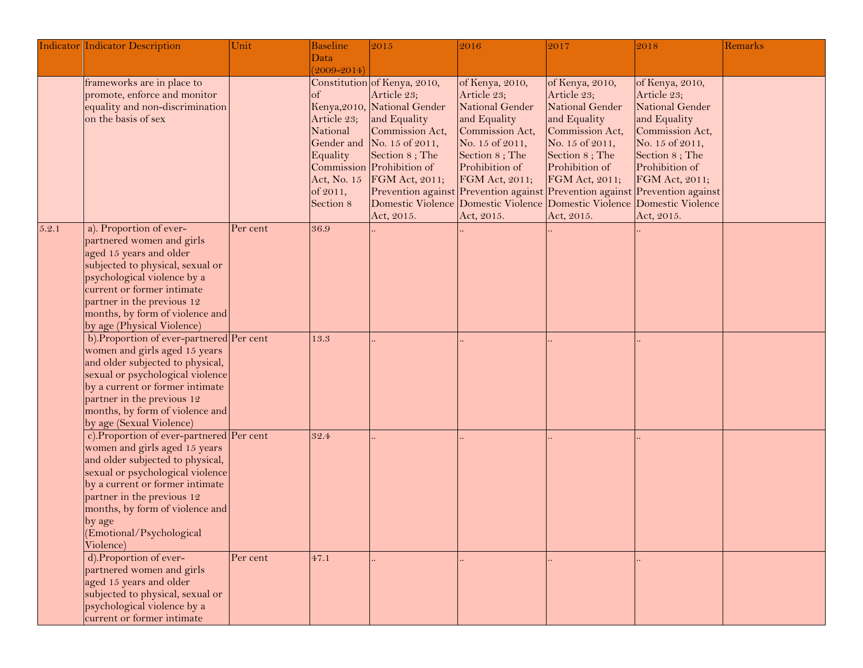|       | <b>Indicator Indicator Description</b>                        | Unit     | <b>Baseline</b> | 2015                         | 2016                                                                                  | 2017            | 2018            | Remarks |
|-------|---------------------------------------------------------------|----------|-----------------|------------------------------|---------------------------------------------------------------------------------------|-----------------|-----------------|---------|
|       |                                                               |          | <b>Data</b>     |                              |                                                                                       |                 |                 |         |
|       |                                                               |          | $(2009 - 2014)$ |                              |                                                                                       |                 |                 |         |
|       | frameworks are in place to                                    |          |                 | Constitution of Kenya, 2010, | of Kenya, 2010,                                                                       | of Kenya, 2010, | of Kenya, 2010, |         |
|       | promote, enforce and monitor                                  |          | $\sigma$        | Article 23;                  | Article 23;                                                                           | Article 23;     | Article 23;     |         |
|       | equality and non-discrimination                               |          |                 | Kenya, 2010, National Gender | National Gender                                                                       | National Gender | National Gender |         |
|       | on the basis of sex                                           |          | Article 23;     | and Equality                 | and Equality                                                                          | and Equality    | and Equality    |         |
|       |                                                               |          | National        | Commission Act,              | Commission Act,                                                                       | Commission Act, | Commission Act, |         |
|       |                                                               |          | Gender and      | No. 15 of 2011,              | No. 15 of 2011,                                                                       | No. 15 of 2011, | No. 15 of 2011, |         |
|       |                                                               |          | Equality        | Section 8; The               | Section 8; The                                                                        | Section 8; The  | Section 8; The  |         |
|       |                                                               |          |                 | Commission Prohibition of    | Prohibition of                                                                        | Prohibition of  | Prohibition of  |         |
|       |                                                               |          | Act, No. 15     | FGM Act, 2011;               | FGM Act, 2011;                                                                        | FGM Act, 2011;  | FGM Act, 2011;  |         |
|       |                                                               |          | of 2011,        |                              | Prevention against Prevention against Prevention against Prevention against           |                 |                 |         |
|       |                                                               |          | Section 8       | Act, 2015.                   | Domestic Violence Domestic Violence Domestic Violence Domestic Violence<br>Act, 2015. | Act, 2015.      | Act, 2015.      |         |
| 5.2.1 | a). Proportion of ever-                                       | Per cent | 36.9            |                              |                                                                                       |                 |                 |         |
|       | partnered women and girls                                     |          |                 |                              |                                                                                       |                 |                 |         |
|       | aged 15 years and older                                       |          |                 |                              |                                                                                       |                 |                 |         |
|       | subjected to physical, sexual or                              |          |                 |                              |                                                                                       |                 |                 |         |
|       | psychological violence by a                                   |          |                 |                              |                                                                                       |                 |                 |         |
|       | current or former intimate                                    |          |                 |                              |                                                                                       |                 |                 |         |
|       | partner in the previous 12                                    |          |                 |                              |                                                                                       |                 |                 |         |
|       | months, by form of violence and                               |          |                 |                              |                                                                                       |                 |                 |         |
|       | by age (Physical Violence)                                    |          |                 |                              |                                                                                       |                 |                 |         |
|       | b). Proportion of ever-partnered Per cent                     |          | 13.3            |                              |                                                                                       |                 |                 |         |
|       | women and girls aged 15 years                                 |          |                 |                              |                                                                                       |                 |                 |         |
|       | and older subjected to physical,                              |          |                 |                              |                                                                                       |                 |                 |         |
|       | sexual or psychological violence                              |          |                 |                              |                                                                                       |                 |                 |         |
|       | by a current or former intimate                               |          |                 |                              |                                                                                       |                 |                 |         |
|       | partner in the previous 12                                    |          |                 |                              |                                                                                       |                 |                 |         |
|       | months, by form of violence and                               |          |                 |                              |                                                                                       |                 |                 |         |
|       | by age (Sexual Violence)                                      |          |                 |                              |                                                                                       |                 |                 |         |
|       | c). Proportion of ever-partnered Per cent                     |          | 32.4            |                              |                                                                                       |                 |                 |         |
|       | women and girls aged 15 years                                 |          |                 |                              |                                                                                       |                 |                 |         |
|       | and older subjected to physical,                              |          |                 |                              |                                                                                       |                 |                 |         |
|       | sexual or psychological violence                              |          |                 |                              |                                                                                       |                 |                 |         |
|       | by a current or former intimate<br>partner in the previous 12 |          |                 |                              |                                                                                       |                 |                 |         |
|       | months, by form of violence and                               |          |                 |                              |                                                                                       |                 |                 |         |
|       | by age                                                        |          |                 |                              |                                                                                       |                 |                 |         |
|       | (Emotional/Psychological                                      |          |                 |                              |                                                                                       |                 |                 |         |
|       | Violence)                                                     |          |                 |                              |                                                                                       |                 |                 |         |
|       | d). Proportion of ever-                                       | Per cent | 47.1            |                              |                                                                                       |                 |                 |         |
|       | partnered women and girls                                     |          |                 |                              |                                                                                       |                 |                 |         |
|       | aged 15 years and older                                       |          |                 |                              |                                                                                       |                 |                 |         |
|       | subjected to physical, sexual or                              |          |                 |                              |                                                                                       |                 |                 |         |
|       | psychological violence by a                                   |          |                 |                              |                                                                                       |                 |                 |         |
|       | current or former intimate                                    |          |                 |                              |                                                                                       |                 |                 |         |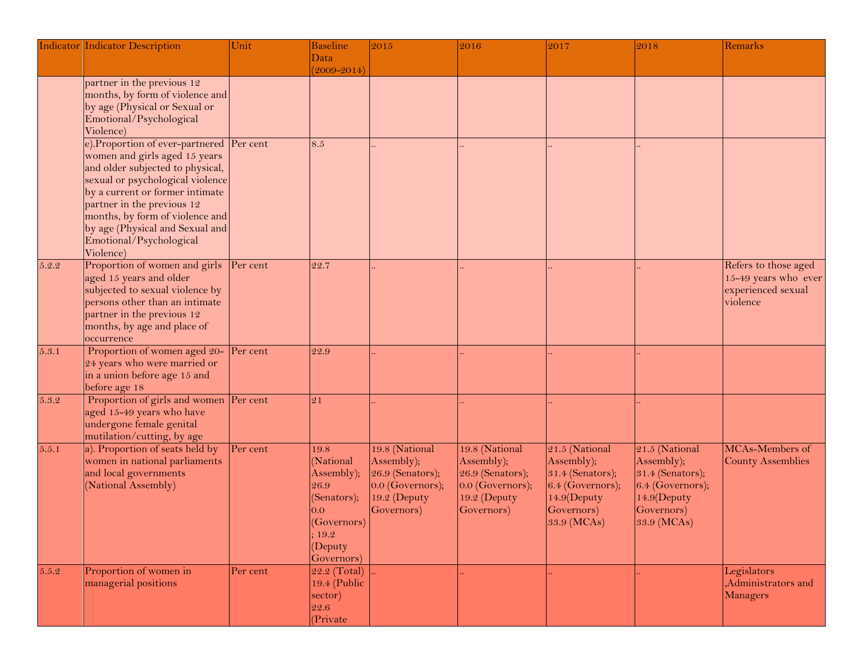|       | <b>Indicator Indicator Description</b> | Unit     | <b>Baseline</b> | 2015                 | 2016                 | 2017             | 2018             | Remarks                  |
|-------|----------------------------------------|----------|-----------------|----------------------|----------------------|------------------|------------------|--------------------------|
|       |                                        |          | Data            |                      |                      |                  |                  |                          |
|       |                                        |          | $(2009 - 2014)$ |                      |                      |                  |                  |                          |
|       | partner in the previous 12             |          |                 |                      |                      |                  |                  |                          |
|       | months, by form of violence and        |          |                 |                      |                      |                  |                  |                          |
|       | by age (Physical or Sexual or          |          |                 |                      |                      |                  |                  |                          |
|       | Emotional/Psychological                |          |                 |                      |                      |                  |                  |                          |
|       | Violence)                              |          |                 |                      |                      |                  |                  |                          |
|       | e). Proportion of ever-partnered       | Per cent | 8.5             |                      |                      |                  |                  |                          |
|       | women and girls aged 15 years          |          |                 |                      |                      |                  |                  |                          |
|       | and older subjected to physical,       |          |                 |                      |                      |                  |                  |                          |
|       | sexual or psychological violence       |          |                 |                      |                      |                  |                  |                          |
|       | by a current or former intimate        |          |                 |                      |                      |                  |                  |                          |
|       | partner in the previous 12             |          |                 |                      |                      |                  |                  |                          |
|       | months, by form of violence and        |          |                 |                      |                      |                  |                  |                          |
|       | by age (Physical and Sexual and        |          |                 |                      |                      |                  |                  |                          |
|       | Emotional/Psychological                |          |                 |                      |                      |                  |                  |                          |
|       | Violence)                              |          |                 |                      |                      |                  |                  |                          |
| 5.2.2 | Proportion of women and girls          | Per cent | 22.7            |                      |                      |                  |                  | Refers to those aged     |
|       | aged 15 years and older                |          |                 |                      |                      |                  |                  | 15-49 years who ever     |
|       | subjected to sexual violence by        |          |                 |                      |                      |                  |                  | experienced sexual       |
|       | persons other than an intimate         |          |                 |                      |                      |                  |                  | violence                 |
|       | partner in the previous 12             |          |                 |                      |                      |                  |                  |                          |
|       | months, by age and place of            |          |                 |                      |                      |                  |                  |                          |
|       | occurrence                             |          |                 |                      |                      |                  |                  |                          |
| 5.3.1 | Proportion of women aged 20-           | Per cent | 22.9            |                      |                      |                  |                  |                          |
|       | 24 years who were married or           |          |                 |                      |                      |                  |                  |                          |
|       | in a union before age 15 and           |          |                 |                      |                      |                  |                  |                          |
|       | before age 18                          |          |                 |                      |                      |                  |                  |                          |
| 5.3.2 | Proportion of girls and women          | Per cent | 21              |                      |                      |                  |                  |                          |
|       | aged 15-49 years who have              |          |                 |                      |                      |                  |                  |                          |
|       | undergone female genital               |          |                 |                      |                      |                  |                  |                          |
|       | mutilation/cutting, by age             |          |                 |                      |                      |                  |                  |                          |
| 5.5.1 | a). Proportion of seats held by        | Per cent | 19.8            | 19.8 (National       | 19.8 (National       | 21.5 (National   | 21.5 (National   | MCAs-Members of          |
|       | women in national parliaments          |          | (National       | Assembly);           | Assembly);           | Assembly);       | Assembly);       | <b>County Assemblies</b> |
|       | and local governments                  |          | Assembly);      | 26.9 (Senators);     | $26.9$ (Senators);   | 31.4 (Senators); | 31.4 (Senators); |                          |
|       | (National Assembly)                    |          | 26.9            | $ 0.0 $ (Governors); | $ 0.0 $ (Governors); | 6.4 (Governors); | 6.4 (Governors); |                          |
|       |                                        |          | (Senators);     | 19.2 (Deputy         | 19.2 (Deputy         | 14.9(Deputy      | 14.9(Deputy      |                          |
|       |                                        |          | 0.0             | Governors)           | Governors)           | Governors)       | Governors)       |                          |
|       |                                        |          | (Governors)     |                      |                      | 33.9 (MCAs)      | 33.9 (MCAs)      |                          |
|       |                                        |          | 19.2            |                      |                      |                  |                  |                          |
|       |                                        |          | (Deputy         |                      |                      |                  |                  |                          |
|       |                                        |          | Governors)      |                      |                      |                  |                  |                          |
| 5.5.2 | Proportion of women in                 | Per cent | $22.2$ (Total)  |                      |                      |                  |                  | Legislators              |
|       | managerial positions                   |          | 19.4 (Public    |                      |                      |                  |                  | ,Administrators and      |
|       |                                        |          | sector)         |                      |                      |                  |                  | Managers                 |
|       |                                        |          | 22.6            |                      |                      |                  |                  |                          |
|       |                                        |          | (Private        |                      |                      |                  |                  |                          |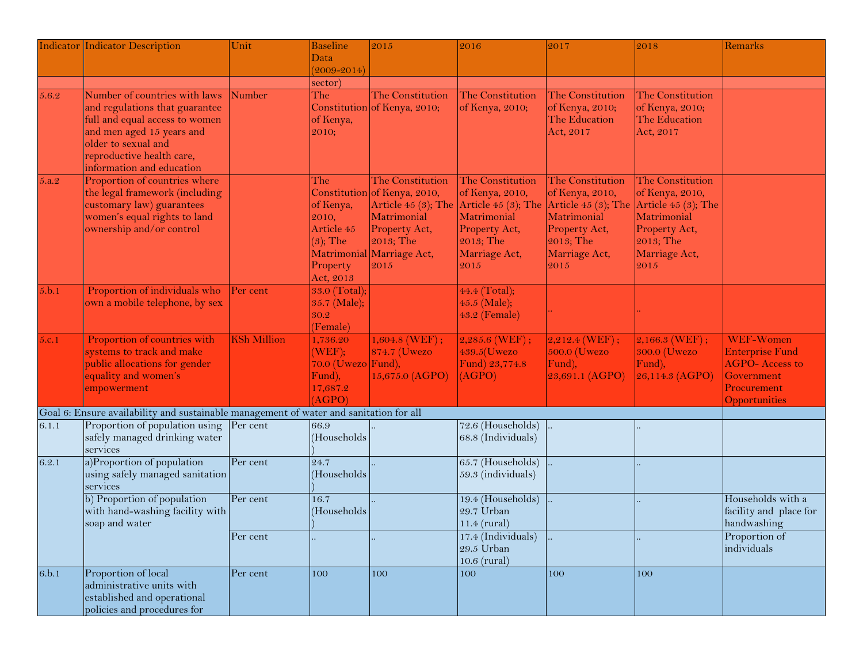|       | <b>Indicator Indicator Description</b>                                                                                                                                                                          | Unit               | <b>Baseline</b><br>Data                                                         | 2015                                                                                                                                                        | 2016                                                                                                                                  | 2017                                                                                                                                | 2018                                                                                                                               | Remarks                                                                                                    |
|-------|-----------------------------------------------------------------------------------------------------------------------------------------------------------------------------------------------------------------|--------------------|---------------------------------------------------------------------------------|-------------------------------------------------------------------------------------------------------------------------------------------------------------|---------------------------------------------------------------------------------------------------------------------------------------|-------------------------------------------------------------------------------------------------------------------------------------|------------------------------------------------------------------------------------------------------------------------------------|------------------------------------------------------------------------------------------------------------|
|       |                                                                                                                                                                                                                 |                    | $(2009 - 2014)$<br>sector)                                                      |                                                                                                                                                             |                                                                                                                                       |                                                                                                                                     |                                                                                                                                    |                                                                                                            |
| 5.6.2 | Number of countries with laws<br>and regulations that guarantee<br>full and equal access to women<br>and men aged 15 years and<br>older to sexual and<br>reproductive health care,<br>information and education | Number             | The<br>of Kenya,<br>2010;                                                       | The Constitution<br>Constitution of Kenya, 2010;                                                                                                            | The Constitution<br>of Kenya, 2010;                                                                                                   | The Constitution<br>of Kenya, 2010;<br>The Education<br>Act, 2017                                                                   | The Constitution<br>of Kenya, 2010;<br>The Education<br>Act, 2017                                                                  |                                                                                                            |
| 5.a.2 | Proportion of countries where<br>the legal framework (including<br>customary law) guarantees<br>women's equal rights to land<br>ownership and/or control                                                        |                    | The<br>of Kenya,<br>2010,<br>Article 45<br>$(3)$ ; The<br>Property<br>Act, 2013 | The Constitution<br>Constitution of Kenya, 2010,<br>Article $45(3)$ ; The<br>Matrimonial<br>Property Act,<br>2013; The<br>Matrimonial Marriage Act,<br>2015 | The Constitution<br>of Kenya, 2010,<br>Article 45 $(3)$ ; The<br>Matrimonial<br>Property Act,<br>$2013;$ The<br>Marriage Act,<br>2015 | The Constitution<br>of Kenya, 2010,<br>Article 45 $(3)$ ; The<br>Matrimonial<br>Property Act,<br>2013; The<br>Marriage Act,<br>2015 | The Constitution<br>of Kenya, 2010,<br>Article $45(3)$ ; The<br>Matrimonial<br>Property Act,<br>2013; The<br>Marriage Act,<br>2015 |                                                                                                            |
| 5.b.1 | Proportion of individuals who<br>own a mobile telephone, by sex                                                                                                                                                 | Per cent           | 33.0 (Total);<br>35.7 (Male);<br>30.2<br>(Female)                               |                                                                                                                                                             | 44.4 (Total);<br>45.5 (Male);<br>43.2 (Female)                                                                                        |                                                                                                                                     |                                                                                                                                    |                                                                                                            |
| 5.c.1 | Proportion of countries with<br>systems to track and make<br>public allocations for gender<br>equality and women's<br>empowerment                                                                               | <b>KSh Million</b> | 1,736.20<br>(WEF);<br>$70.0$ (Uwezo Fund),<br>Fund),<br>17,687.2<br>(AGPO)      | $1,604.8$ (WEF);<br>874.7 (Uwezo<br>15,675.0 (AGPO)                                                                                                         | $2,285.6$ (WEF);<br>$439.5$ (Uwezo<br>Fund) 23,774.8<br>(AGPO)                                                                        | $2,212.4$ (WEF);<br>$500.0$ (Uwezo<br>Fund),<br>23,691.1 (AGPO)                                                                     | $2,166.3$ (WEF);<br>300.0 (Uwezo<br>Fund),<br>26,114.3 (AGPO)                                                                      | WEF-Women<br><b>Enterprise Fund</b><br><b>AGPO-Access to</b><br>Government<br>Procurement<br>Opportunities |
|       | Goal 6: Ensure availability and sustainable management of water and sanitation for all                                                                                                                          |                    |                                                                                 |                                                                                                                                                             |                                                                                                                                       |                                                                                                                                     |                                                                                                                                    |                                                                                                            |
| 6.1.1 | Proportion of population using<br>safely managed drinking water<br>services                                                                                                                                     | Per cent           | 66.9<br>(Households                                                             |                                                                                                                                                             | 72.6 (Households)<br>68.8 (Individuals)                                                                                               |                                                                                                                                     |                                                                                                                                    |                                                                                                            |
| 6.2.1 | a)Proportion of population<br>using safely managed sanitation<br>services                                                                                                                                       | Per cent           | 24.7<br>(Households                                                             |                                                                                                                                                             | $65.7$ (Households)<br>59.3 (individuals)                                                                                             |                                                                                                                                     |                                                                                                                                    |                                                                                                            |
|       | b) Proportion of population<br>with hand-washing facility with<br>soap and water                                                                                                                                | Per cent           | 16.7<br>(Households                                                             |                                                                                                                                                             | 19.4 (Households)<br>29.7 Urban<br>$11.4$ (rural)                                                                                     |                                                                                                                                     |                                                                                                                                    | Households with a<br>facility and place for<br>handwashing                                                 |
|       |                                                                                                                                                                                                                 | Per cent           |                                                                                 |                                                                                                                                                             | 17.4 (Individuals)<br>$29.5$ Urban<br>$10.6$ (rural)                                                                                  |                                                                                                                                     |                                                                                                                                    | Proportion of<br>individuals                                                                               |
| 6.b.1 | Proportion of local<br>administrative units with<br>established and operational<br>policies and procedures for                                                                                                  | Per cent           | 100                                                                             | 100                                                                                                                                                         | 100                                                                                                                                   | 100                                                                                                                                 | 100                                                                                                                                |                                                                                                            |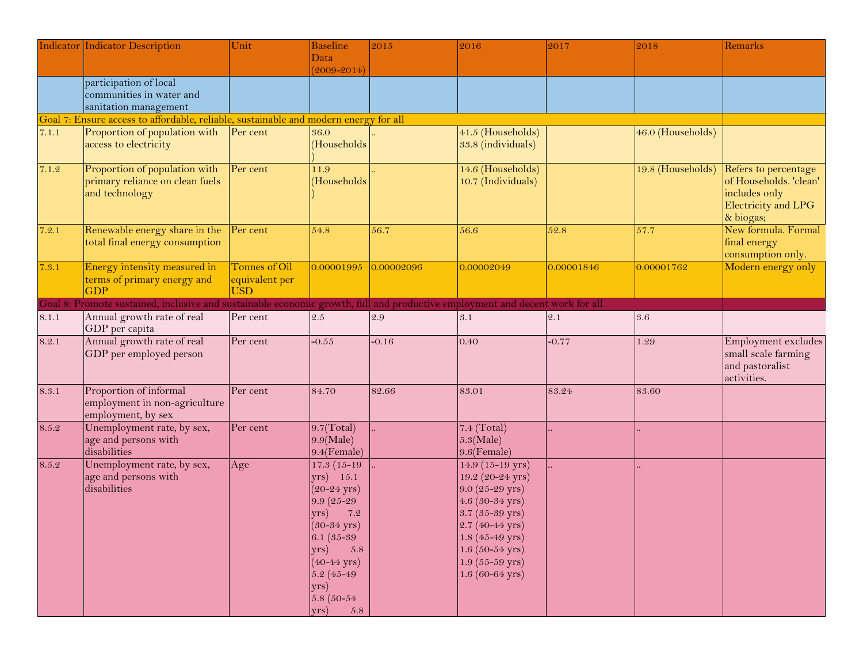|       | <b>Indicator Indicator Description</b>                                                                                       | Unit                                          | Baseline                                                                                                                                                                                                                                                           | 2015       | 2016                                                                                                                                                                                                                                                    | 2017       | 2018              | Remarks                                                                                             |
|-------|------------------------------------------------------------------------------------------------------------------------------|-----------------------------------------------|--------------------------------------------------------------------------------------------------------------------------------------------------------------------------------------------------------------------------------------------------------------------|------------|---------------------------------------------------------------------------------------------------------------------------------------------------------------------------------------------------------------------------------------------------------|------------|-------------------|-----------------------------------------------------------------------------------------------------|
|       |                                                                                                                              |                                               | Data<br>$(2009 - 2014)$                                                                                                                                                                                                                                            |            |                                                                                                                                                                                                                                                         |            |                   |                                                                                                     |
|       | participation of local<br>communities in water and<br>sanitation management                                                  |                                               |                                                                                                                                                                                                                                                                    |            |                                                                                                                                                                                                                                                         |            |                   |                                                                                                     |
|       | Goal 7: Ensure access to affordable, reliable, sustainable and modern energy for all                                         |                                               |                                                                                                                                                                                                                                                                    |            |                                                                                                                                                                                                                                                         |            |                   |                                                                                                     |
| 7.1.1 | Proportion of population with<br>access to electricity                                                                       | Per cent                                      | 36.0<br>(Households                                                                                                                                                                                                                                                |            | 41.5 (Households)<br>33.8 (individuals)                                                                                                                                                                                                                 |            | 46.0 (Households) |                                                                                                     |
| 7.1.2 | Proportion of population with<br>primary reliance on clean fuels<br>and technology                                           | Per cent                                      | 11.9<br>(Households                                                                                                                                                                                                                                                |            | 14.6 (Households)<br>10.7 (Individuals)                                                                                                                                                                                                                 |            | 19.8 (Households) | Refers to percentage<br>of Households. 'clean'<br>includes only<br>Electricity and LPG<br>& biogas; |
| 7.2.1 | Renewable energy share in the Per cent<br>total final energy consumption                                                     |                                               | 54.8                                                                                                                                                                                                                                                               | 56.7       | 56.6                                                                                                                                                                                                                                                    | 52.8       | 57.7              | New formula. Formal<br>final energy<br>consumption only.                                            |
| 7.3.1 | Energy intensity measured in<br>terms of primary energy and<br><b>GDP</b>                                                    | Tonnes of Oil<br>equivalent per<br><b>USD</b> | 0.00001995                                                                                                                                                                                                                                                         | 0.00002096 | 0.00002049                                                                                                                                                                                                                                              | 0.00001846 | 0.00001762        | Modern energy only                                                                                  |
|       | Goal 8: Promote sustained, inclusive and sustainable economic growth, full and productive employment and decent work for all |                                               |                                                                                                                                                                                                                                                                    |            |                                                                                                                                                                                                                                                         |            |                   |                                                                                                     |
| 8.1.1 | Annual growth rate of real<br>GDP per capita                                                                                 | Per cent                                      | $2.5\,$                                                                                                                                                                                                                                                            | 2.9        | 3.1                                                                                                                                                                                                                                                     | 2.1        | 3.6               |                                                                                                     |
| 8.2.1 | Annual growth rate of real<br>GDP per employed person                                                                        | Per cent                                      | $-0.55$                                                                                                                                                                                                                                                            | $-0.16$    | 0.40                                                                                                                                                                                                                                                    | $-0.77$    | 1.29              | Employment excludes<br>small scale farming<br>and pastoralist<br>activities.                        |
| 8.3.1 | Proportion of informal<br>employment in non-agriculture<br>employment, by sex                                                | Per cent                                      | 84.70                                                                                                                                                                                                                                                              | 82.66      | 83.01                                                                                                                                                                                                                                                   | 83.24      | 83.60             |                                                                                                     |
| 8.5.2 | Unemployment rate, by sex,<br>age and persons with<br>disabilities                                                           | Per cent                                      | 9.7(Total)<br>$9.9$ (Male)<br>9.4(Female)                                                                                                                                                                                                                          |            | $7.4$ (Total)<br>$5.3$ (Male)<br>$9.6$ (Female)                                                                                                                                                                                                         |            |                   |                                                                                                     |
| 8.5.2 | Unemployment rate, by sex,<br>age and persons with<br>disabilities                                                           | Age                                           | $17.3(15-19)$<br>$(yrs)$ 15.1<br>$(20 - 24 \text{ yrs})$<br>9.9 (25-29<br>7.2<br>$ vrs\rangle$<br>$(30-34 \text{ yrs})$<br>$6.1(35-39)$<br>$(yrs)$ 5.8<br>$(40 - 44 \text{ yrs})$<br>$5.2(45 - 49)$<br>yrs)<br>$5.8(50-54)$<br>$\langle \gamma \rangle$<br>$5.8\,$ |            | 14.9 (15-19 yrs)<br>19.2 (20-24 yrs)<br>$9.0(25-29 \text{ yrs})$<br>4.6 (30-34 yrs)<br>$3.7(35-39 \text{ yrs})$<br>$2.7(40 - 44 \text{ yrs})$<br>$1.8(45 - 49 \text{ yrs})$<br>$1.6(50-54 \text{ yrs})$<br>$1.9(55-59 \text{ yrs})$<br>$1.6(60-64$ yrs) |            |                   |                                                                                                     |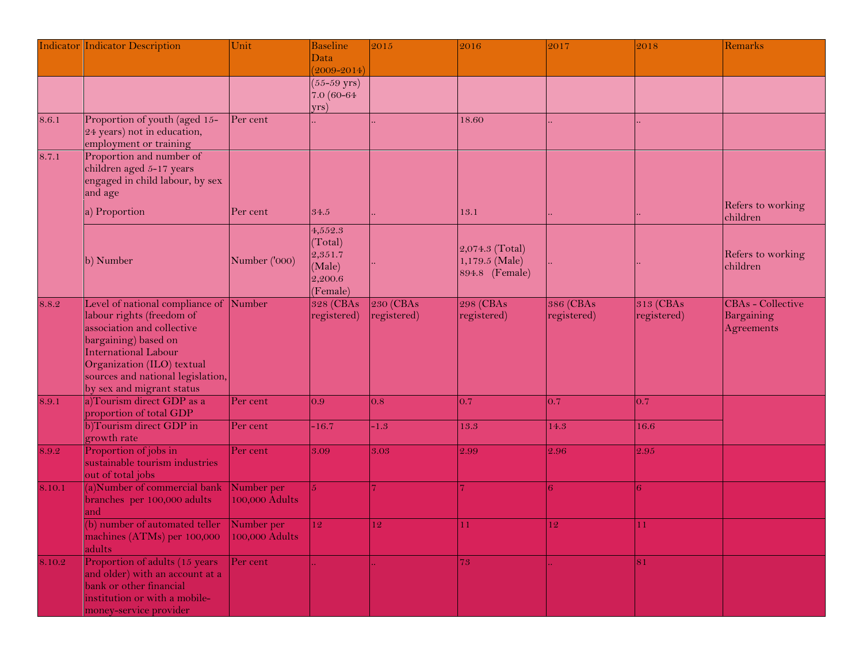| Data<br>$(2009 - 2014)$<br>$(55 - 59 \text{ yrs})$<br>7.0 (60-64<br>yrs)<br>Proportion of youth (aged 15-<br>8.6.1<br>Per cent<br>18.60<br>24 years) not in education,<br>employment or training<br>Proportion and number of<br>children aged 5-17 years<br>engaged in child labour, by sex<br>and age<br>Refers to working<br>a) Proportion<br>13.1<br>Per cent<br>34.5<br>children<br>4,552.3<br>(Total)<br>2,074.3 (Total)<br>2,351.7<br>Refers to working<br>b) Number<br>Number ('000)<br>1,179.5 (Male)<br>children<br>(Male)<br>894.8 (Female)<br>2,200.6<br>(Female)<br>Level of national compliance of<br>Number<br><b>230 (CBAs</b><br>298 (CBAs<br><b>386 (CBAs</b><br>313 (CBAs<br>CBAs - Collective<br>328 (CBAs<br>8.8.2<br>labour rights (freedom of<br>Bargaining<br>registered)<br>registered)<br>registered)<br>registered)<br>registered)<br>association and collective<br>Agreements<br>bargaining) based on<br><b>International Labour</b><br>Organization (ILO) textual<br>sources and national legislation,<br>by sex and migrant status<br>a)Tourism direct GDP as a<br>Per cent<br>8.9.1<br>0.9<br>0.7<br>0.7<br>0.7<br>0.8<br>proportion of total GDP<br>b)Tourism direct GDP in<br>Per cent<br>$-16.7$<br>$-1.3$<br>13.3<br>14.3<br>16.6<br>growth rate<br>Proportion of jobs in<br>Per cent<br>8.9.2<br>3.09<br>3.03<br>2.99<br>2.96<br>2.95<br>sustainable tourism industries<br>out of total jobs<br>(a)Number of commercial bank<br>Number per<br>8.10.1<br>6<br>5.<br>branches per 100,000 adults<br>100,000 Adults<br>and<br>(b) number of automated teller Number per<br>12<br>12<br>12<br>11<br>11 |       | <b>Indicator Indicator Description</b> | Unit | <b>Baseline</b> | 2015 | 2016 | 2017 | 2018 | Remarks |
|---------------------------------------------------------------------------------------------------------------------------------------------------------------------------------------------------------------------------------------------------------------------------------------------------------------------------------------------------------------------------------------------------------------------------------------------------------------------------------------------------------------------------------------------------------------------------------------------------------------------------------------------------------------------------------------------------------------------------------------------------------------------------------------------------------------------------------------------------------------------------------------------------------------------------------------------------------------------------------------------------------------------------------------------------------------------------------------------------------------------------------------------------------------------------------------------------------------------------------------------------------------------------------------------------------------------------------------------------------------------------------------------------------------------------------------------------------------------------------------------------------------------------------------------------------------------------------------------------------------------------------------|-------|----------------------------------------|------|-----------------|------|------|------|------|---------|
|                                                                                                                                                                                                                                                                                                                                                                                                                                                                                                                                                                                                                                                                                                                                                                                                                                                                                                                                                                                                                                                                                                                                                                                                                                                                                                                                                                                                                                                                                                                                                                                                                                       |       |                                        |      |                 |      |      |      |      |         |
|                                                                                                                                                                                                                                                                                                                                                                                                                                                                                                                                                                                                                                                                                                                                                                                                                                                                                                                                                                                                                                                                                                                                                                                                                                                                                                                                                                                                                                                                                                                                                                                                                                       |       |                                        |      |                 |      |      |      |      |         |
|                                                                                                                                                                                                                                                                                                                                                                                                                                                                                                                                                                                                                                                                                                                                                                                                                                                                                                                                                                                                                                                                                                                                                                                                                                                                                                                                                                                                                                                                                                                                                                                                                                       |       |                                        |      |                 |      |      |      |      |         |
|                                                                                                                                                                                                                                                                                                                                                                                                                                                                                                                                                                                                                                                                                                                                                                                                                                                                                                                                                                                                                                                                                                                                                                                                                                                                                                                                                                                                                                                                                                                                                                                                                                       |       |                                        |      |                 |      |      |      |      |         |
|                                                                                                                                                                                                                                                                                                                                                                                                                                                                                                                                                                                                                                                                                                                                                                                                                                                                                                                                                                                                                                                                                                                                                                                                                                                                                                                                                                                                                                                                                                                                                                                                                                       |       |                                        |      |                 |      |      |      |      |         |
|                                                                                                                                                                                                                                                                                                                                                                                                                                                                                                                                                                                                                                                                                                                                                                                                                                                                                                                                                                                                                                                                                                                                                                                                                                                                                                                                                                                                                                                                                                                                                                                                                                       |       |                                        |      |                 |      |      |      |      |         |
|                                                                                                                                                                                                                                                                                                                                                                                                                                                                                                                                                                                                                                                                                                                                                                                                                                                                                                                                                                                                                                                                                                                                                                                                                                                                                                                                                                                                                                                                                                                                                                                                                                       | 8.7.1 |                                        |      |                 |      |      |      |      |         |
|                                                                                                                                                                                                                                                                                                                                                                                                                                                                                                                                                                                                                                                                                                                                                                                                                                                                                                                                                                                                                                                                                                                                                                                                                                                                                                                                                                                                                                                                                                                                                                                                                                       |       |                                        |      |                 |      |      |      |      |         |
|                                                                                                                                                                                                                                                                                                                                                                                                                                                                                                                                                                                                                                                                                                                                                                                                                                                                                                                                                                                                                                                                                                                                                                                                                                                                                                                                                                                                                                                                                                                                                                                                                                       |       |                                        |      |                 |      |      |      |      |         |
|                                                                                                                                                                                                                                                                                                                                                                                                                                                                                                                                                                                                                                                                                                                                                                                                                                                                                                                                                                                                                                                                                                                                                                                                                                                                                                                                                                                                                                                                                                                                                                                                                                       |       |                                        |      |                 |      |      |      |      |         |
|                                                                                                                                                                                                                                                                                                                                                                                                                                                                                                                                                                                                                                                                                                                                                                                                                                                                                                                                                                                                                                                                                                                                                                                                                                                                                                                                                                                                                                                                                                                                                                                                                                       |       |                                        |      |                 |      |      |      |      |         |
|                                                                                                                                                                                                                                                                                                                                                                                                                                                                                                                                                                                                                                                                                                                                                                                                                                                                                                                                                                                                                                                                                                                                                                                                                                                                                                                                                                                                                                                                                                                                                                                                                                       |       |                                        |      |                 |      |      |      |      |         |
|                                                                                                                                                                                                                                                                                                                                                                                                                                                                                                                                                                                                                                                                                                                                                                                                                                                                                                                                                                                                                                                                                                                                                                                                                                                                                                                                                                                                                                                                                                                                                                                                                                       |       |                                        |      |                 |      |      |      |      |         |
|                                                                                                                                                                                                                                                                                                                                                                                                                                                                                                                                                                                                                                                                                                                                                                                                                                                                                                                                                                                                                                                                                                                                                                                                                                                                                                                                                                                                                                                                                                                                                                                                                                       |       |                                        |      |                 |      |      |      |      |         |
|                                                                                                                                                                                                                                                                                                                                                                                                                                                                                                                                                                                                                                                                                                                                                                                                                                                                                                                                                                                                                                                                                                                                                                                                                                                                                                                                                                                                                                                                                                                                                                                                                                       |       |                                        |      |                 |      |      |      |      |         |
|                                                                                                                                                                                                                                                                                                                                                                                                                                                                                                                                                                                                                                                                                                                                                                                                                                                                                                                                                                                                                                                                                                                                                                                                                                                                                                                                                                                                                                                                                                                                                                                                                                       |       |                                        |      |                 |      |      |      |      |         |
|                                                                                                                                                                                                                                                                                                                                                                                                                                                                                                                                                                                                                                                                                                                                                                                                                                                                                                                                                                                                                                                                                                                                                                                                                                                                                                                                                                                                                                                                                                                                                                                                                                       |       |                                        |      |                 |      |      |      |      |         |
|                                                                                                                                                                                                                                                                                                                                                                                                                                                                                                                                                                                                                                                                                                                                                                                                                                                                                                                                                                                                                                                                                                                                                                                                                                                                                                                                                                                                                                                                                                                                                                                                                                       |       |                                        |      |                 |      |      |      |      |         |
|                                                                                                                                                                                                                                                                                                                                                                                                                                                                                                                                                                                                                                                                                                                                                                                                                                                                                                                                                                                                                                                                                                                                                                                                                                                                                                                                                                                                                                                                                                                                                                                                                                       |       |                                        |      |                 |      |      |      |      |         |
|                                                                                                                                                                                                                                                                                                                                                                                                                                                                                                                                                                                                                                                                                                                                                                                                                                                                                                                                                                                                                                                                                                                                                                                                                                                                                                                                                                                                                                                                                                                                                                                                                                       |       |                                        |      |                 |      |      |      |      |         |
|                                                                                                                                                                                                                                                                                                                                                                                                                                                                                                                                                                                                                                                                                                                                                                                                                                                                                                                                                                                                                                                                                                                                                                                                                                                                                                                                                                                                                                                                                                                                                                                                                                       |       |                                        |      |                 |      |      |      |      |         |
|                                                                                                                                                                                                                                                                                                                                                                                                                                                                                                                                                                                                                                                                                                                                                                                                                                                                                                                                                                                                                                                                                                                                                                                                                                                                                                                                                                                                                                                                                                                                                                                                                                       |       |                                        |      |                 |      |      |      |      |         |
|                                                                                                                                                                                                                                                                                                                                                                                                                                                                                                                                                                                                                                                                                                                                                                                                                                                                                                                                                                                                                                                                                                                                                                                                                                                                                                                                                                                                                                                                                                                                                                                                                                       |       |                                        |      |                 |      |      |      |      |         |
|                                                                                                                                                                                                                                                                                                                                                                                                                                                                                                                                                                                                                                                                                                                                                                                                                                                                                                                                                                                                                                                                                                                                                                                                                                                                                                                                                                                                                                                                                                                                                                                                                                       |       |                                        |      |                 |      |      |      |      |         |
|                                                                                                                                                                                                                                                                                                                                                                                                                                                                                                                                                                                                                                                                                                                                                                                                                                                                                                                                                                                                                                                                                                                                                                                                                                                                                                                                                                                                                                                                                                                                                                                                                                       |       |                                        |      |                 |      |      |      |      |         |
|                                                                                                                                                                                                                                                                                                                                                                                                                                                                                                                                                                                                                                                                                                                                                                                                                                                                                                                                                                                                                                                                                                                                                                                                                                                                                                                                                                                                                                                                                                                                                                                                                                       |       |                                        |      |                 |      |      |      |      |         |
|                                                                                                                                                                                                                                                                                                                                                                                                                                                                                                                                                                                                                                                                                                                                                                                                                                                                                                                                                                                                                                                                                                                                                                                                                                                                                                                                                                                                                                                                                                                                                                                                                                       |       |                                        |      |                 |      |      |      |      |         |
|                                                                                                                                                                                                                                                                                                                                                                                                                                                                                                                                                                                                                                                                                                                                                                                                                                                                                                                                                                                                                                                                                                                                                                                                                                                                                                                                                                                                                                                                                                                                                                                                                                       |       |                                        |      |                 |      |      |      |      |         |
|                                                                                                                                                                                                                                                                                                                                                                                                                                                                                                                                                                                                                                                                                                                                                                                                                                                                                                                                                                                                                                                                                                                                                                                                                                                                                                                                                                                                                                                                                                                                                                                                                                       |       |                                        |      |                 |      |      |      |      |         |
|                                                                                                                                                                                                                                                                                                                                                                                                                                                                                                                                                                                                                                                                                                                                                                                                                                                                                                                                                                                                                                                                                                                                                                                                                                                                                                                                                                                                                                                                                                                                                                                                                                       |       |                                        |      |                 |      |      |      |      |         |
|                                                                                                                                                                                                                                                                                                                                                                                                                                                                                                                                                                                                                                                                                                                                                                                                                                                                                                                                                                                                                                                                                                                                                                                                                                                                                                                                                                                                                                                                                                                                                                                                                                       |       |                                        |      |                 |      |      |      |      |         |
| 100,000 Adults<br>machines (ATMs) per 100,000<br>adults                                                                                                                                                                                                                                                                                                                                                                                                                                                                                                                                                                                                                                                                                                                                                                                                                                                                                                                                                                                                                                                                                                                                                                                                                                                                                                                                                                                                                                                                                                                                                                               |       |                                        |      |                 |      |      |      |      |         |
| Proportion of adults (15 years<br>Per cent<br>73<br>8.10.2<br>81                                                                                                                                                                                                                                                                                                                                                                                                                                                                                                                                                                                                                                                                                                                                                                                                                                                                                                                                                                                                                                                                                                                                                                                                                                                                                                                                                                                                                                                                                                                                                                      |       |                                        |      |                 |      |      |      |      |         |
| and older) with an account at a                                                                                                                                                                                                                                                                                                                                                                                                                                                                                                                                                                                                                                                                                                                                                                                                                                                                                                                                                                                                                                                                                                                                                                                                                                                                                                                                                                                                                                                                                                                                                                                                       |       |                                        |      |                 |      |      |      |      |         |
| bank or other financial<br>institution or with a mobile-                                                                                                                                                                                                                                                                                                                                                                                                                                                                                                                                                                                                                                                                                                                                                                                                                                                                                                                                                                                                                                                                                                                                                                                                                                                                                                                                                                                                                                                                                                                                                                              |       |                                        |      |                 |      |      |      |      |         |
| money-service provider                                                                                                                                                                                                                                                                                                                                                                                                                                                                                                                                                                                                                                                                                                                                                                                                                                                                                                                                                                                                                                                                                                                                                                                                                                                                                                                                                                                                                                                                                                                                                                                                                |       |                                        |      |                 |      |      |      |      |         |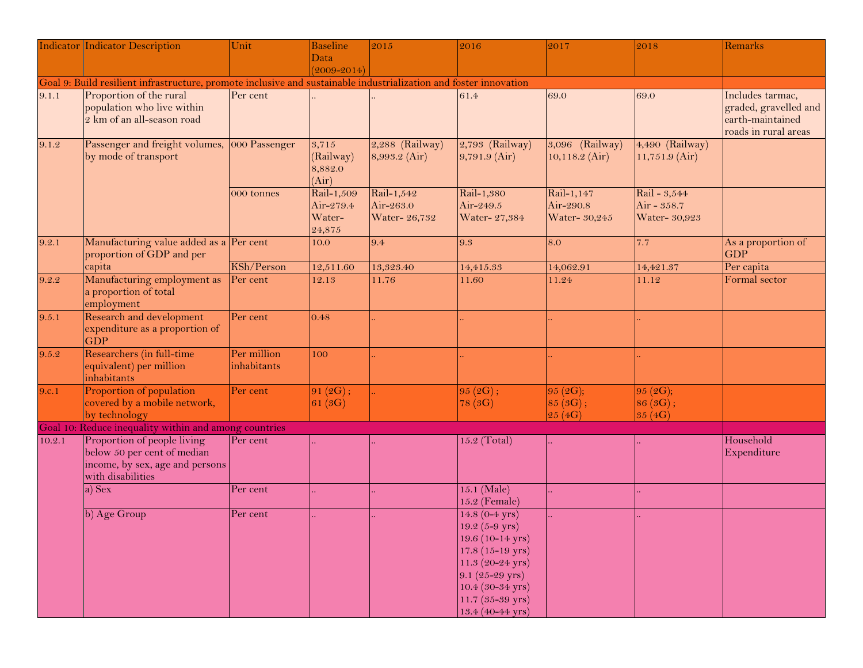|                                                                                                                   | <b>Indicator Indicator Description</b>                                                                             | Unit                       | <b>Baseline</b>                             | 2015                                     | 2016                                                                                                                                                                                                                                                     | 2017                                                         | 2018                                         | Remarks                                                                               |  |  |
|-------------------------------------------------------------------------------------------------------------------|--------------------------------------------------------------------------------------------------------------------|----------------------------|---------------------------------------------|------------------------------------------|----------------------------------------------------------------------------------------------------------------------------------------------------------------------------------------------------------------------------------------------------------|--------------------------------------------------------------|----------------------------------------------|---------------------------------------------------------------------------------------|--|--|
|                                                                                                                   |                                                                                                                    |                            | Data                                        |                                          |                                                                                                                                                                                                                                                          |                                                              |                                              |                                                                                       |  |  |
|                                                                                                                   |                                                                                                                    |                            | $(2009 - 2014)$                             |                                          |                                                                                                                                                                                                                                                          |                                                              |                                              |                                                                                       |  |  |
| Goal 9: Build resilient infrastructure, promote inclusive and sustainable industrialization and foster innovation |                                                                                                                    |                            |                                             |                                          |                                                                                                                                                                                                                                                          |                                                              |                                              |                                                                                       |  |  |
| 9.1.1                                                                                                             | Proportion of the rural<br>population who live within<br>2 km of an all-season road                                | Per cent                   |                                             |                                          | 61.4                                                                                                                                                                                                                                                     | 69.0                                                         | 69.0                                         | Includes tarmac,<br>graded, gravelled and<br>earth-maintained<br>roads in rural areas |  |  |
| 9.1.2                                                                                                             | Passenger and freight volumes,<br>by mode of transport                                                             | 000 Passenger              | 3,715<br>(Railway)<br>8,882.0<br>(Air)      | $2,288$ (Railway)<br>8,993.2 (Air)       | $2,793$ (Railway)<br>$9,791.9$ (Air)                                                                                                                                                                                                                     | 3,096 (Railway)<br>$10,118.2$ (Air)                          | 4,490 (Railway)<br>$11,751.9$ (Air)          |                                                                                       |  |  |
|                                                                                                                   |                                                                                                                    | 000 tonnes                 | Rail-1,509<br>Air-279.4<br>Water-<br>24,875 | Rail-1,542<br>Air-263.0<br>Water- 26,732 | Rail-1,380<br>Air-249.5<br>Water- 27,384                                                                                                                                                                                                                 | $\overline{\text{Rail-1},147}$<br>Air-290.8<br>Water- 30,245 | Rail - 3,544<br>Air - 358.7<br>Water- 30,923 |                                                                                       |  |  |
| 9.2.1                                                                                                             | Manufacturing value added as a Per cent<br>proportion of GDP and per                                               |                            | 10.0                                        | 9.4                                      | 9.3                                                                                                                                                                                                                                                      | 8.0                                                          | 7.7                                          | As a proportion of<br><b>GDP</b>                                                      |  |  |
|                                                                                                                   | capita                                                                                                             | KSh/Person                 | 12,511.60                                   | 13,323.40                                | 14,415.33                                                                                                                                                                                                                                                | 14,062.91                                                    | 14,421.37                                    | Per capita                                                                            |  |  |
| 9.2.2                                                                                                             | Manufacturing employment as<br>a proportion of total<br>employment                                                 | Per cent                   | 12.13                                       | 11.76                                    | 11.60                                                                                                                                                                                                                                                    | 11.24                                                        | 11.12                                        | Formal sector                                                                         |  |  |
| 9.5.1                                                                                                             | Research and development<br>expenditure as a proportion of<br><b>GDP</b>                                           | Per cent                   | 0.48                                        |                                          |                                                                                                                                                                                                                                                          |                                                              |                                              |                                                                                       |  |  |
| 9.5.2                                                                                                             | Researchers (in full-time<br>equivalent) per million<br>inhabitants                                                | Per million<br>inhabitants | 100                                         |                                          |                                                                                                                                                                                                                                                          |                                                              |                                              |                                                                                       |  |  |
| 9.c.1                                                                                                             | Proportion of population<br>covered by a mobile network,<br>by technology                                          | Per cent                   | 91(2G);<br>61(3G)                           |                                          | 95(2G);<br>78(3G)                                                                                                                                                                                                                                        | 95 (2G);<br>85(3G);<br>25(4G)                                | 95 (2G);<br> 86(3G);<br>35 (4G)              |                                                                                       |  |  |
|                                                                                                                   | Goal 10: Reduce inequality within and among countries                                                              |                            |                                             |                                          |                                                                                                                                                                                                                                                          |                                                              |                                              |                                                                                       |  |  |
| 10.2.1                                                                                                            | Proportion of people living<br>below 50 per cent of median<br>income, by sex, age and persons<br>with disabilities | Per cent                   |                                             |                                          | 15.2 (Total)                                                                                                                                                                                                                                             |                                                              |                                              | Household<br>Expenditure                                                              |  |  |
|                                                                                                                   | a) Sex                                                                                                             | Per cent                   |                                             |                                          | 15.1 (Male)<br>15.2 (Female)                                                                                                                                                                                                                             |                                                              |                                              |                                                                                       |  |  |
|                                                                                                                   | b) Age Group                                                                                                       | Per cent                   |                                             |                                          | 14.8 $(0-4$ yrs)<br>$19.2 (5 - 9 \text{ yrs})$<br>$19.6(10-14 \text{ yrs})$<br>$17.8(15-19 \text{ yrs})$<br>$11.3 (20 - 24 \text{ yrs})$<br>$9.1(25-29 \text{ yrs})$<br>$10.4 (30 - 34 \text{ yrs})$<br>$11.7 (35 - 39 \text{ yrs})$<br>13.4 (40-44 yrs) |                                                              |                                              |                                                                                       |  |  |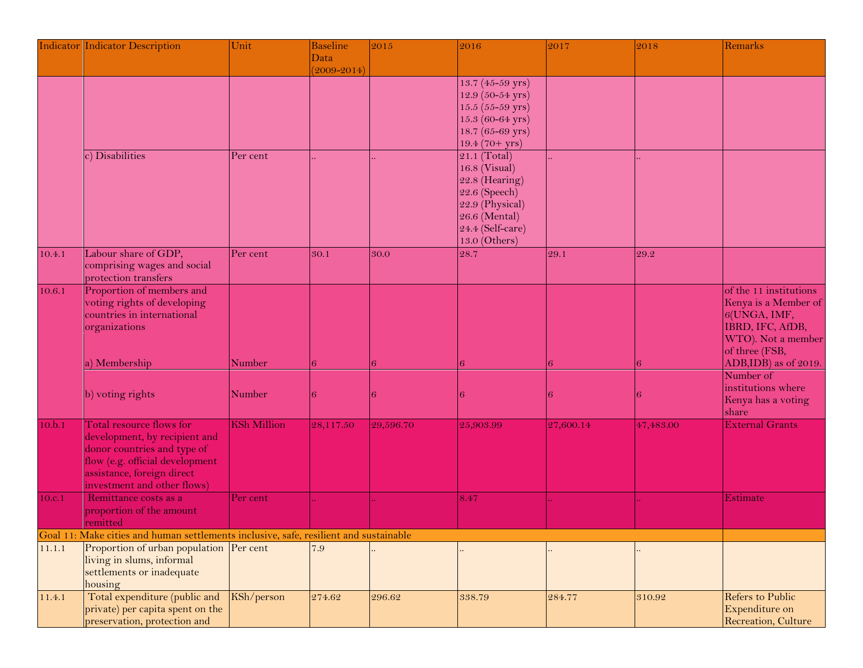|        | <b>Indicator Indicator Description</b>                                                                                           | Unit               | <b>Baseline</b> | 2015      | 2016                                | 2017      | 2018      | Remarks                                |
|--------|----------------------------------------------------------------------------------------------------------------------------------|--------------------|-----------------|-----------|-------------------------------------|-----------|-----------|----------------------------------------|
|        |                                                                                                                                  |                    | Data            |           |                                     |           |           |                                        |
|        |                                                                                                                                  |                    | $(2009 - 2014)$ |           |                                     |           |           |                                        |
|        |                                                                                                                                  |                    |                 |           | $13.7(45-59 \text{ yrs})$           |           |           |                                        |
|        |                                                                                                                                  |                    |                 |           | 12.9 (50-54 yrs)                    |           |           |                                        |
|        |                                                                                                                                  |                    |                 |           | $15.5(55-59 \text{ yrs})$           |           |           |                                        |
|        |                                                                                                                                  |                    |                 |           | $15.3(60 - 64$ yrs)                 |           |           |                                        |
|        |                                                                                                                                  |                    |                 |           | 18.7 (65-69 yrs)<br>$19.4(70+ yrs)$ |           |           |                                        |
|        | c) Disabilities                                                                                                                  | Per cent           |                 |           | 21.1 (Total)                        |           |           |                                        |
|        |                                                                                                                                  |                    |                 |           | 16.8 (Visual)                       |           |           |                                        |
|        |                                                                                                                                  |                    |                 |           | $22.8$ (Hearing)                    |           |           |                                        |
|        |                                                                                                                                  |                    |                 |           | $22.6$ (Speech)                     |           |           |                                        |
|        |                                                                                                                                  |                    |                 |           | 22.9 (Physical)                     |           |           |                                        |
|        |                                                                                                                                  |                    |                 |           | $26.6$ (Mental)                     |           |           |                                        |
|        |                                                                                                                                  |                    |                 |           | 24.4 (Self-care)                    |           |           |                                        |
|        |                                                                                                                                  |                    |                 |           | 13.0 (Others)                       |           |           |                                        |
| 10.4.1 | Labour share of GDP,                                                                                                             | Per cent           | 30.1            | 30.0      | 28.7                                | 29.1      | 29.2      |                                        |
|        | comprising wages and social                                                                                                      |                    |                 |           |                                     |           |           |                                        |
|        | protection transfers                                                                                                             |                    |                 |           |                                     |           |           |                                        |
| 10.6.1 | Proportion of members and                                                                                                        |                    |                 |           |                                     |           |           | of the 11 institutions                 |
|        | voting rights of developing                                                                                                      |                    |                 |           |                                     |           |           | Kenya is a Member of                   |
|        | countries in international                                                                                                       |                    |                 |           |                                     |           |           | 6(UNGA, IMF,                           |
|        | organizations                                                                                                                    |                    |                 |           |                                     |           |           | IBRD, IFC, AfDB,                       |
|        |                                                                                                                                  |                    |                 |           |                                     |           |           | WTO). Not a member                     |
|        |                                                                                                                                  | Number             |                 |           |                                     |           | 6         | of three (FSB,<br>ADB,IDB) as of 2019. |
|        | a) Membership                                                                                                                    |                    | 16              |           |                                     |           |           | Number of                              |
|        |                                                                                                                                  |                    |                 |           |                                     |           |           | institutions where                     |
|        | b) voting rights                                                                                                                 | Number             | 16              |           |                                     |           | в         | Kenya has a voting                     |
|        |                                                                                                                                  |                    |                 |           |                                     |           |           | share                                  |
| 10.b.1 | Total resource flows for                                                                                                         | <b>KSh Million</b> | 28,117.50       | 29,596.70 | 25,903.99                           | 27,600.14 | 47,483.00 | <b>External Grants</b>                 |
|        | development, by recipient and                                                                                                    |                    |                 |           |                                     |           |           |                                        |
|        | donor countries and type of                                                                                                      |                    |                 |           |                                     |           |           |                                        |
|        | flow (e.g. official development                                                                                                  |                    |                 |           |                                     |           |           |                                        |
|        | assistance, foreign direct                                                                                                       |                    |                 |           |                                     |           |           |                                        |
|        | investment and other flows)                                                                                                      |                    |                 |           |                                     |           |           |                                        |
| 10.c.1 | Remittance costs as a                                                                                                            | Per cent           |                 |           | 8.47                                |           |           | Estimate                               |
|        | proportion of the amount                                                                                                         |                    |                 |           |                                     |           |           |                                        |
|        | remitted                                                                                                                         |                    |                 |           |                                     |           |           |                                        |
| 11.1.1 | Goal 11: Make cities and human settlements inclusive, safe, resilient and sustainable<br>Proportion of urban population Per cent |                    | 7.9             |           |                                     |           |           |                                        |
|        | living in slums, informal                                                                                                        |                    |                 |           |                                     |           |           |                                        |
|        | settlements or inadequate                                                                                                        |                    |                 |           |                                     |           |           |                                        |
|        | housing                                                                                                                          |                    |                 |           |                                     |           |           |                                        |
| 11.4.1 | Total expenditure (public and                                                                                                    | KSh/person         | 274.62          | 296.62    | 338.79                              | 284.77    | 310.92    | <b>Refers to Public</b>                |
|        | private) per capita spent on the                                                                                                 |                    |                 |           |                                     |           |           | Expenditure on                         |
|        | preservation, protection and                                                                                                     |                    |                 |           |                                     |           |           | Recreation, Culture                    |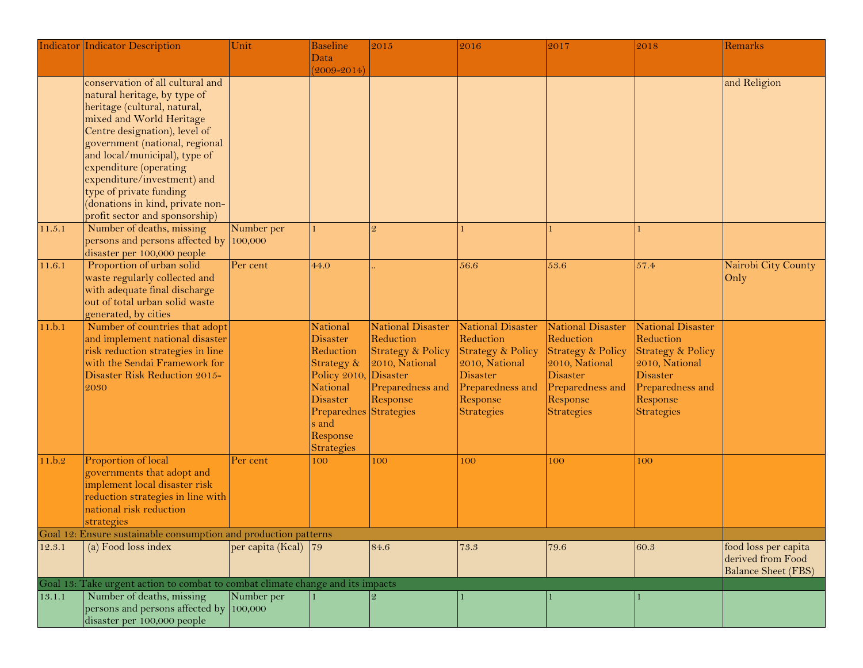|        | <b>Indicator Indicator Description</b>                                         | Unit                     | <b>Baseline</b>              | 2015                                           | 2016                           | 2017                                  | 2018                                  | Remarks                                   |
|--------|--------------------------------------------------------------------------------|--------------------------|------------------------------|------------------------------------------------|--------------------------------|---------------------------------------|---------------------------------------|-------------------------------------------|
|        |                                                                                |                          | Data                         |                                                |                                |                                       |                                       |                                           |
|        | conservation of all cultural and                                               |                          | $(2009 - 2014)$              |                                                |                                |                                       |                                       | and Religion                              |
|        | natural heritage, by type of                                                   |                          |                              |                                                |                                |                                       |                                       |                                           |
|        | heritage (cultural, natural,                                                   |                          |                              |                                                |                                |                                       |                                       |                                           |
|        | mixed and World Heritage                                                       |                          |                              |                                                |                                |                                       |                                       |                                           |
|        | Centre designation), level of                                                  |                          |                              |                                                |                                |                                       |                                       |                                           |
|        | government (national, regional                                                 |                          |                              |                                                |                                |                                       |                                       |                                           |
|        | and local/municipal), type of                                                  |                          |                              |                                                |                                |                                       |                                       |                                           |
|        | expenditure (operating                                                         |                          |                              |                                                |                                |                                       |                                       |                                           |
|        | expenditure/investment) and                                                    |                          |                              |                                                |                                |                                       |                                       |                                           |
|        | type of private funding                                                        |                          |                              |                                                |                                |                                       |                                       |                                           |
|        | (donations in kind, private non-                                               |                          |                              |                                                |                                |                                       |                                       |                                           |
|        | profit sector and sponsorship)                                                 |                          |                              |                                                |                                |                                       |                                       |                                           |
| 11.5.1 | Number of deaths, missing                                                      | Number per               |                              | $\overline{2}$                                 |                                |                                       |                                       |                                           |
|        | persons and persons affected by                                                | 100,000                  |                              |                                                |                                |                                       |                                       |                                           |
|        | disaster per 100,000 people                                                    |                          |                              |                                                |                                |                                       |                                       |                                           |
| 11.6.1 | Proportion of urban solid                                                      | Per cent                 | 44.0                         |                                                | 56.6                           | 53.6                                  | 57.4                                  | Nairobi City County                       |
|        | waste regularly collected and                                                  |                          |                              |                                                |                                |                                       |                                       | Only                                      |
|        | with adequate final discharge                                                  |                          |                              |                                                |                                |                                       |                                       |                                           |
|        | out of total urban solid waste                                                 |                          |                              |                                                |                                |                                       |                                       |                                           |
|        | generated, by cities                                                           |                          |                              |                                                |                                |                                       |                                       |                                           |
| 11.b.1 | Number of countries that adopt                                                 |                          | <b>National</b>              | <b>National Disaster</b><br>Reduction          | National Disaster<br>Reduction | <b>National Disaster</b><br>Reduction | <b>National Disaster</b><br>Reduction |                                           |
|        | and implement national disaster<br>risk reduction strategies in line           |                          | <b>Disaster</b><br>Reduction |                                                | <b>Strategy &amp; Policy</b>   | <b>Strategy &amp; Policy</b>          | <b>Strategy &amp; Policy</b>          |                                           |
|        | with the Sendai Framework for                                                  |                          | Strategy &                   | <b>Strategy &amp; Policy</b><br>2010, National | 2010, National                 | 2010, National                        | 2010, National                        |                                           |
|        | Disaster Risk Reduction 2015-                                                  |                          | Policy 2010,                 | Disaster                                       | Disaster                       | Disaster                              | <b>Disaster</b>                       |                                           |
|        | 2030                                                                           |                          | National                     | Preparedness and                               | Preparedness and               | Preparedness and                      | Preparedness and                      |                                           |
|        |                                                                                |                          | <b>Disaster</b>              | Response                                       | Response                       | Response                              | Response                              |                                           |
|        |                                                                                |                          | Preparednes                  | Strategies                                     | Strategies                     | Strategies                            | <b>Strategies</b>                     |                                           |
|        |                                                                                |                          | s and                        |                                                |                                |                                       |                                       |                                           |
|        |                                                                                |                          | Response                     |                                                |                                |                                       |                                       |                                           |
|        |                                                                                |                          | <b>Strategies</b>            |                                                |                                |                                       |                                       |                                           |
| 11.b.2 | Proportion of local                                                            | Per cent                 | 100                          | 100                                            | 100                            | 100                                   | 100                                   |                                           |
|        | governments that adopt and                                                     |                          |                              |                                                |                                |                                       |                                       |                                           |
|        | implement local disaster risk                                                  |                          |                              |                                                |                                |                                       |                                       |                                           |
|        | reduction strategies in line with                                              |                          |                              |                                                |                                |                                       |                                       |                                           |
|        | national risk reduction                                                        |                          |                              |                                                |                                |                                       |                                       |                                           |
|        | strategies                                                                     |                          |                              |                                                |                                |                                       |                                       |                                           |
|        | Goal 12: Ensure sustainable consumption and production patterns                |                          |                              |                                                |                                |                                       |                                       |                                           |
| 12.3.1 | (a) Food loss index                                                            | per capita (Kcal) $ 79 $ |                              | 84.6                                           | 73.3                           | 79.6                                  | 60.3                                  | food loss per capita<br>derived from Food |
|        |                                                                                |                          |                              |                                                |                                |                                       |                                       | <b>Balance Sheet (FBS)</b>                |
|        | Goal 13: Take urgent action to combat to combat climate change and its impacts |                          |                              |                                                |                                |                                       |                                       |                                           |
| 13.1.1 | Number of deaths, missing                                                      | Number per               |                              |                                                |                                |                                       |                                       |                                           |
|        | persons and persons affected by                                                | 100,000                  |                              |                                                |                                |                                       |                                       |                                           |
|        | disaster per 100,000 people                                                    |                          |                              |                                                |                                |                                       |                                       |                                           |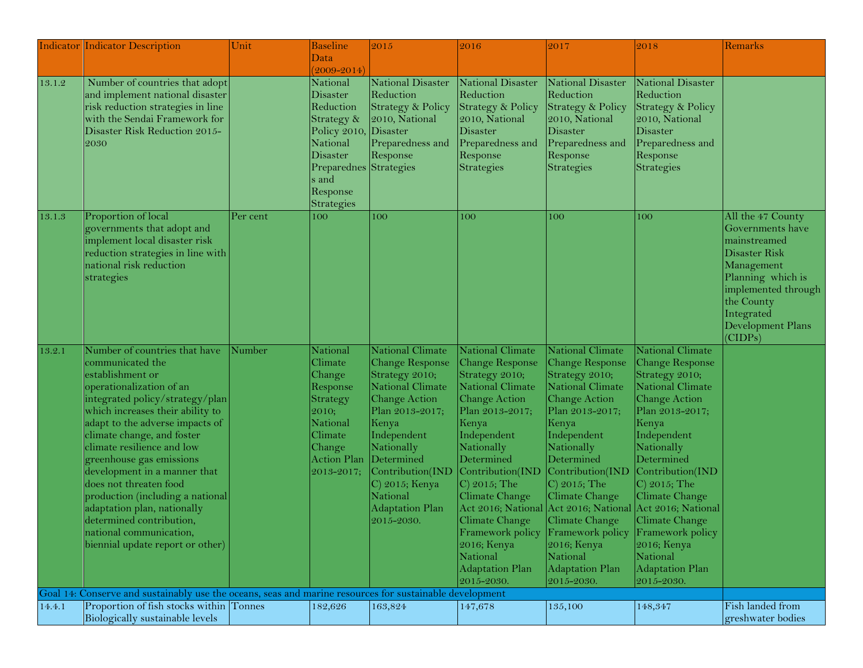|        | <b>Indicator Indicator Description</b>                                                                  | Unit     | <b>Baseline</b>        | 2015                         | 2016                               | 2017                                                     | 2018                               | Remarks             |
|--------|---------------------------------------------------------------------------------------------------------|----------|------------------------|------------------------------|------------------------------------|----------------------------------------------------------|------------------------------------|---------------------|
|        |                                                                                                         |          | Data                   |                              |                                    |                                                          |                                    |                     |
|        |                                                                                                         |          | $(2009 - 2014)$        |                              |                                    |                                                          |                                    |                     |
| 13.1.2 | Number of countries that adopt                                                                          |          | National               | National Disaster            | National Disaster                  | <b>National Disaster</b>                                 | <b>National Disaster</b>           |                     |
|        | and implement national disaster                                                                         |          | <b>Disaster</b>        | Reduction                    | Reduction                          | Reduction                                                | Reduction                          |                     |
|        | risk reduction strategies in line                                                                       |          | Reduction              | <b>Strategy &amp; Policy</b> | Strategy & Policy                  | <b>Strategy &amp; Policy</b>                             | Strategy & Policy                  |                     |
|        | with the Sendai Framework for                                                                           |          | Strategy &             | 2010, National               | 2010, National                     | 2010, National                                           | 2010, National                     |                     |
|        | Disaster Risk Reduction 2015-                                                                           |          | Policy 2010,           | Disaster                     | Disaster                           | Disaster                                                 | Disaster                           |                     |
|        | 2030                                                                                                    |          | National               | Preparedness and             | Preparedness and                   | Preparedness and                                         | Preparedness and                   |                     |
|        |                                                                                                         |          | <b>Disaster</b>        | Response                     | Response                           | Response                                                 | Response                           |                     |
|        |                                                                                                         |          | Preparednes Strategies |                              | Strategies                         | Strategies                                               | Strategies                         |                     |
|        |                                                                                                         |          | s and<br>Response      |                              |                                    |                                                          |                                    |                     |
|        |                                                                                                         |          | Strategies             |                              |                                    |                                                          |                                    |                     |
| 13.1.3 | Proportion of local                                                                                     | Per cent | 100                    | 100                          | 100                                | 100                                                      | 100                                | All the 47 County   |
|        | governments that adopt and                                                                              |          |                        |                              |                                    |                                                          |                                    | Governments have    |
|        | implement local disaster risk                                                                           |          |                        |                              |                                    |                                                          |                                    | mainstreamed        |
|        | reduction strategies in line with                                                                       |          |                        |                              |                                    |                                                          |                                    | Disaster Risk       |
|        | national risk reduction                                                                                 |          |                        |                              |                                    |                                                          |                                    | Management          |
|        | strategies                                                                                              |          |                        |                              |                                    |                                                          |                                    | Planning which is   |
|        |                                                                                                         |          |                        |                              |                                    |                                                          |                                    | implemented through |
|        |                                                                                                         |          |                        |                              |                                    |                                                          |                                    | the County          |
|        |                                                                                                         |          |                        |                              |                                    |                                                          |                                    | Integrated          |
|        |                                                                                                         |          |                        |                              |                                    |                                                          |                                    | Development Plans   |
|        |                                                                                                         |          |                        |                              |                                    |                                                          |                                    | (CIDPs)             |
| 13.2.1 | Number of countries that have                                                                           | Number   | National               | <b>National Climate</b>      | National Climate                   | National Climate                                         | <b>National Climate</b>            |                     |
|        | communicated the                                                                                        |          | Climate                | Change Response              | <b>Change Response</b>             | Change Response                                          | Change Response                    |                     |
|        | establishment or                                                                                        |          | Change                 | Strategy 2010;               | Strategy 2010;                     | Strategy 2010;                                           | Strategy 2010;                     |                     |
|        | operationalization of an                                                                                |          | Response               | <b>National Climate</b>      | <b>National Climate</b>            | National Climate                                         | National Climate                   |                     |
|        | integrated policy/strategy/plan                                                                         |          | Strategy               | Change Action                | <b>Change Action</b>               | Change Action                                            | <b>Change Action</b>               |                     |
|        | which increases their ability to                                                                        |          | 2010;                  | Plan 2013-2017;              | Plan 2013-2017;                    | Plan 2013-2017;                                          | Plan 2013-2017;                    |                     |
|        | adapt to the adverse impacts of                                                                         |          | National               | Kenya                        | Kenya                              | Kenya                                                    | Kenya                              |                     |
|        | climate change, and foster                                                                              |          | Climate                | Independent                  | Independent                        | Independent                                              | Independent                        |                     |
|        | climate resilience and low                                                                              |          | Change                 | Nationally                   | Nationally                         | Nationally                                               | Nationally                         |                     |
|        | greenhouse gas emissions                                                                                |          | <b>Action Plan</b>     | Determined                   | Determined                         | Determined                                               | Determined                         |                     |
|        | development in a manner that                                                                            |          | 2013-2017;             | Contribution(IND             | Contribution(IND                   | Contribution(IND                                         | Contribution(IND                   |                     |
|        | does not threaten food                                                                                  |          |                        | $ C $ 2015; Kenya            | $\vert$ C) 2015; The               | $ C $ 2015; The                                          | $ C $ 2015; The                    |                     |
|        | production (including a national                                                                        |          |                        | National                     | Climate Change                     | Climate Change                                           | Climate Change                     |                     |
|        | adaptation plan, nationally<br>determined contribution,                                                 |          |                        | <b>Adaptation Plan</b>       |                                    | Act 2016; National Act 2016; National Act 2016; National |                                    |                     |
|        |                                                                                                         |          |                        | 2015-2030.                   | Climate Change<br>Framework policy | Climate Change                                           | Climate Change<br>Framework policy |                     |
|        | national communication,<br>biennial update report or other)                                             |          |                        |                              | $2016;$ Kenya                      | Framework policy<br>$2016$ ; Kenya                       | 2016; Kenya                        |                     |
|        |                                                                                                         |          |                        |                              | National                           | National                                                 | National                           |                     |
|        |                                                                                                         |          |                        |                              | <b>Adaptation Plan</b>             | Adaptation Plan                                          | <b>Adaptation Plan</b>             |                     |
|        |                                                                                                         |          |                        |                              | 2015-2030.                         | 2015-2030.                                               | 2015-2030.                         |                     |
|        | Goal 14: Conserve and sustainably use the oceans, seas and marine resources for sustainable development |          |                        |                              |                                    |                                                          |                                    |                     |
| 14.4.1 | Proportion of fish stocks within Tonnes                                                                 |          | 182,626                | 163,824                      | 147,678                            | 135,100                                                  | 148,347                            | Fish landed from    |
|        | Biologically sustainable levels                                                                         |          |                        |                              |                                    |                                                          |                                    | greshwater bodies   |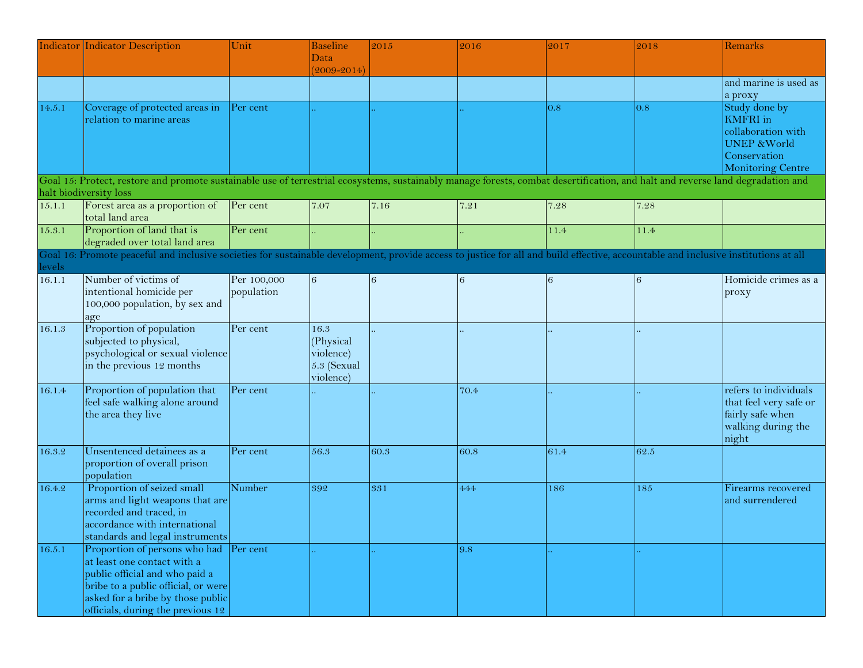|          | <b>Indicator Indicator Description</b>                                                                                                                                                                                   | Unit                      | <b>Baseline</b><br>Data                                    | 2015 | 2016 | 2017 | 2018 | Remarks                                                                                                                       |
|----------|--------------------------------------------------------------------------------------------------------------------------------------------------------------------------------------------------------------------------|---------------------------|------------------------------------------------------------|------|------|------|------|-------------------------------------------------------------------------------------------------------------------------------|
|          |                                                                                                                                                                                                                          |                           | $(2009 - 2014)$                                            |      |      |      |      |                                                                                                                               |
|          |                                                                                                                                                                                                                          |                           |                                                            |      |      |      |      | and marine is used as<br>a proxy                                                                                              |
| 14.5.1   | Coverage of protected areas in<br>relation to marine areas                                                                                                                                                               | Per cent                  |                                                            |      |      | 0.8  | 0.8  | Study done by<br><b>KMFRI</b> in<br>collaboration with<br><b>UNEP &amp; World</b><br>Conservation<br><b>Monitoring Centre</b> |
|          | Goal 15: Protect, restore and promote sustainable use of terrestrial ecosystems, sustainably manage forests, combat desertification, and halt and reverse land degradation and                                           |                           |                                                            |      |      |      |      |                                                                                                                               |
|          | halt biodiversity loss                                                                                                                                                                                                   |                           |                                                            |      |      |      |      |                                                                                                                               |
| 15.1.1   | Forest area as a proportion of<br>total land area                                                                                                                                                                        | Per cent                  | 7.07                                                       | 7.16 | 7.21 | 7.28 | 7.28 |                                                                                                                               |
| 15.3.1   | Proportion of land that is<br>degraded over total land area                                                                                                                                                              | Per cent                  |                                                            |      |      | 11.4 | 11.4 |                                                                                                                               |
| Goal 16: | Promote peaceful and inclusive societies for sustainable development, provide access to justice for all and build effective, accountable and inclusive institutions at all                                               |                           |                                                            |      |      |      |      |                                                                                                                               |
| levels   |                                                                                                                                                                                                                          |                           |                                                            |      |      |      |      |                                                                                                                               |
| 16.1.1   | Number of victims of<br>intentional homicide per<br>100,000 population, by sex and<br>age                                                                                                                                | Per 100,000<br>population | 6                                                          | 6    | 6    | 6    | 6    | Homicide crimes as a<br>proxy                                                                                                 |
| 16.1.3   | Proportion of population<br>subjected to physical,<br>psychological or sexual violence<br>in the previous 12 months                                                                                                      | Per cent                  | 16.3<br>(Physical<br>violence)<br>5.3 (Sexual<br>violence) |      |      |      |      |                                                                                                                               |
| 16.1.4   | Proportion of population that<br>feel safe walking alone around<br>the area they live                                                                                                                                    | Per cent                  |                                                            |      | 70.4 |      |      | refers to individuals<br>that feel very safe or<br>fairly safe when<br>walking during the<br>night                            |
| 16.3.2   | Unsentenced detainees as a<br>proportion of overall prison<br>population                                                                                                                                                 | Per cent                  | 56.3                                                       | 60.3 | 60.8 | 61.4 | 62.5 |                                                                                                                               |
| 16.4.2   | Proportion of seized small<br>arms and light weapons that are<br>recorded and traced, in<br>accordance with international<br>standards and legal instruments                                                             | Number                    | 392                                                        | 331  | 444  | 186  | 185  | Firearms recovered<br>and surrendered                                                                                         |
| 16.5.1   | Proportion of persons who had Per cent<br>at least one contact with a<br>public official and who paid a<br>bribe to a public official, or were<br>asked for a bribe by those public<br>officials, during the previous 12 |                           |                                                            |      | 9.8  |      |      |                                                                                                                               |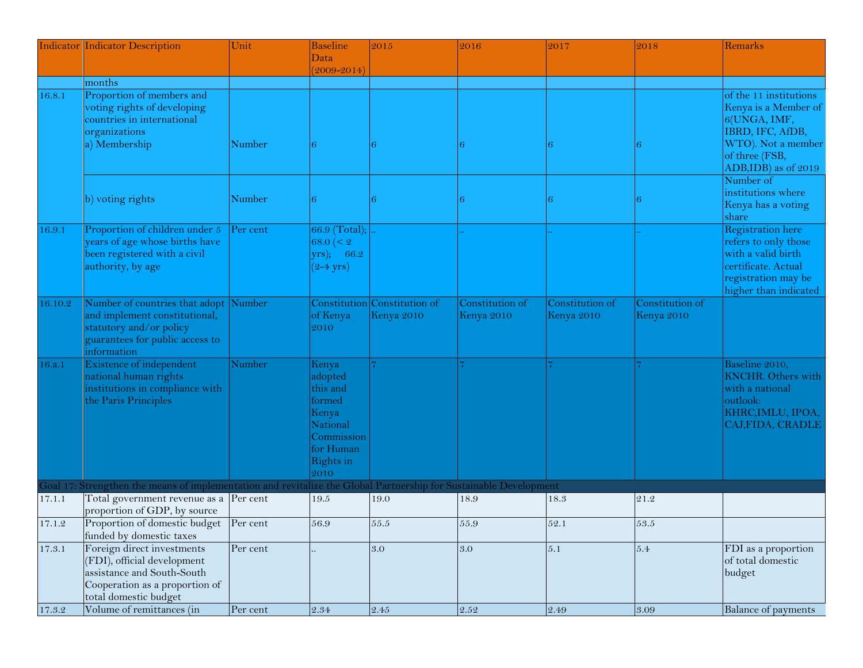|            | <b>Indicator Indicator Description</b>                                                                                                             | Unit     | <b>Baseline</b>                                                                                             | 2015                                       | 2016                          | 2017                          | 2018                          | Remarks                                                                                                                                       |
|------------|----------------------------------------------------------------------------------------------------------------------------------------------------|----------|-------------------------------------------------------------------------------------------------------------|--------------------------------------------|-------------------------------|-------------------------------|-------------------------------|-----------------------------------------------------------------------------------------------------------------------------------------------|
|            |                                                                                                                                                    |          | Data<br>$(2009 - 2014)$                                                                                     |                                            |                               |                               |                               |                                                                                                                                               |
|            | months                                                                                                                                             |          |                                                                                                             |                                            |                               |                               |                               |                                                                                                                                               |
| 16.8.1     | Proportion of members and<br>voting rights of developing<br>countries in international<br>organizations                                            |          |                                                                                                             |                                            |                               |                               |                               | of the 11 institutions<br>Kenya is a Member of<br>6(UNGA, IMF,<br>IBRD, IFC, AfDB,                                                            |
|            | a) Membership                                                                                                                                      | Number   | 6                                                                                                           |                                            |                               |                               | 6                             | WTO). Not a member<br>of three (FSB,<br>ADB, IDB) as of 2019<br>Number of                                                                     |
|            | b) voting rights                                                                                                                                   | Number   | 6                                                                                                           |                                            |                               |                               | 6                             | institutions where<br>Kenya has a voting<br>share                                                                                             |
| 16.9.1     | Proportion of children under 5<br>years of age whose births have<br>been registered with a civil<br>authority, by age                              | Per cent | 66.9 (Total);<br>68.0 $($<br>$(yrs);$ 66.2<br>$(2-4 \text{ yrs})$                                           |                                            |                               |                               |                               | <b>Registration</b> here<br>refers to only those<br>with a valid birth<br>certificate. Actual<br>registration may be<br>higher than indicated |
| 16.10.2    | Number of countries that adopt<br>and implement constitutional,<br>statutory and/or policy<br>guarantees for public access to<br>information       | Number   | of Kenya<br>2010                                                                                            | Constitution Constitution of<br>Kenya 2010 | Constitution of<br>Kenya 2010 | Constitution of<br>Kenya 2010 | Constitution of<br>Kenya 2010 |                                                                                                                                               |
| 16.a.1     | Existence of independent<br>national human rights<br>institutions in compliance with<br>the Paris Principles                                       | Number   | Kenya<br>adopted<br>this and<br>formed<br>Kenya<br>National<br>Commission<br>for Human<br>Rights in<br>2010 |                                            |                               |                               |                               | Baseline 2010,<br><b>KNCHR.</b> Others with<br>with a national<br>outlook:<br>KHRC, IMLU, IPOA,<br>CAJ, FIDA, CRADLE                          |
|            | Goal 17: Strengthen the means of implementation and revitalize the Global Partnership for Sustainable Development                                  |          |                                                                                                             |                                            |                               |                               |                               |                                                                                                                                               |
| 17.1.1     | Total government revenue as a Per cent<br>proportion of GDP, by source                                                                             |          | $19.5\,$                                                                                                    | 19.0                                       | 18.9                          | 18.3                          | 21.2                          |                                                                                                                                               |
| 17.1.2     | Proportion of domestic budget Per cent<br>funded by domestic taxes                                                                                 |          | 56.9                                                                                                        | 55.5                                       | 55.9                          | 52.1                          | 53.5                          |                                                                                                                                               |
| 17.3.1     | Foreign direct investments<br>(FDI), official development<br>assistance and South-South<br>Cooperation as a proportion of<br>total domestic budget | Per cent |                                                                                                             | 3.0                                        | 3.0                           | 5.1                           | $5.4\,$                       | FDI as a proportion<br>of total domestic<br>budget                                                                                            |
| $17.3.2\,$ | Volume of remittances (in                                                                                                                          | Per cent | $\,2.34$                                                                                                    | $2.45\,$                                   | 2.52                          | $2.49\,$                      | $\ \, 3.09$                   | <b>Balance of payments</b>                                                                                                                    |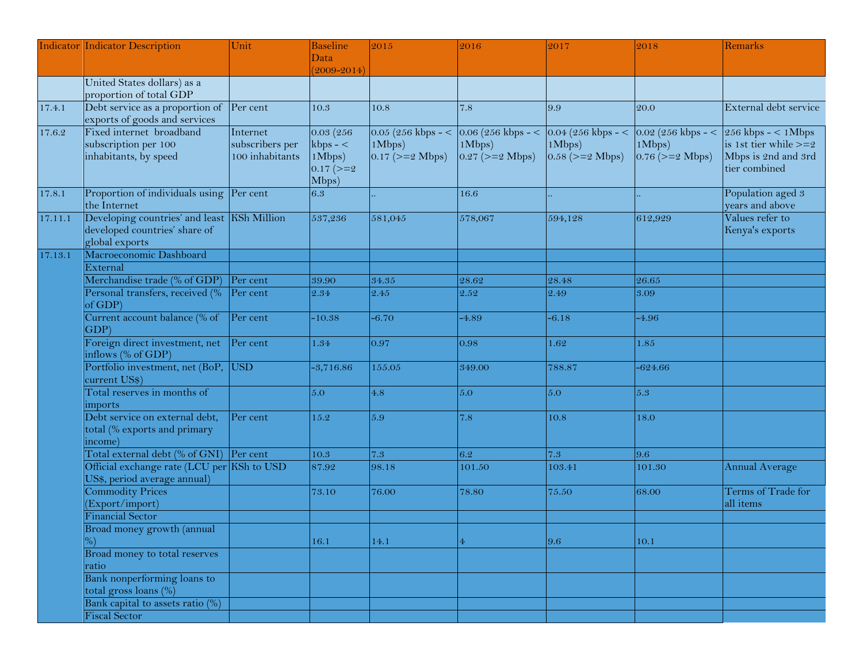|         | <b>Indicator Indicator Description</b>      | Unit            | <b>Baseline</b> | 2015                  | 2016                                                                     | 2017                  | 2018                  | Remarks                 |
|---------|---------------------------------------------|-----------------|-----------------|-----------------------|--------------------------------------------------------------------------|-----------------------|-----------------------|-------------------------|
|         |                                             |                 | Data            |                       |                                                                          |                       |                       |                         |
|         |                                             |                 | $(2009 - 2014)$ |                       |                                                                          |                       |                       |                         |
|         | United States dollars) as a                 |                 |                 |                       |                                                                          |                       |                       |                         |
|         | proportion of total GDP                     |                 |                 |                       |                                                                          |                       |                       |                         |
| 17.4.1  | Debt service as a proportion of Per cent    |                 | 10.3            | 10.8                  | 7.8                                                                      | 9.9                   | 20.0                  | External debt service   |
|         | exports of goods and services               |                 |                 |                       |                                                                          |                       |                       |                         |
| 17.6.2  | Fixed internet broadband                    | Internet        | 0.03(256)       |                       | 0.05 (256 kbps - < $\vert$ 0.06 (256 kbps - < $\vert$ 0.04 (256 kbps - < |                       | $0.02$ (256 kbps - <  | $256$ kbps - < 1Mbps    |
|         | subscription per 100                        | subscribers per | $kbps - <$      | 1Mbps)                | 1Mbps)                                                                   | 1Mbps)                | 1Mbps)                | is 1st tier while $>=2$ |
|         | inhabitants, by speed                       | 100 inhabitants | 1Mbps)          | $0.17$ ( $>= 2$ Mbps) | $0.27$ ( $>= 2$ Mbps)                                                    | $0.58$ ( $>= 2$ Mbps) | $0.76$ ( $>= 2$ Mbps) | Mbps is 2nd and 3rd     |
|         |                                             |                 | $0.17$ ( $>=$ 2 |                       |                                                                          |                       |                       | tier combined           |
|         |                                             |                 | Mbps)           |                       |                                                                          |                       |                       |                         |
| 17.8.1  | Proportion of individuals using Per cent    |                 | 6.3             |                       | 16.6                                                                     |                       |                       | Population aged 3       |
|         | the Internet                                |                 |                 |                       |                                                                          |                       |                       | years and above         |
|         | Developing countries' and least KSh Million |                 |                 | 581,045               |                                                                          |                       |                       | Values refer to         |
| 17.11.1 | developed countries' share of               |                 | 537,236         |                       | 578,067                                                                  | 594,128               | 612,929               | Kenya's exports         |
|         |                                             |                 |                 |                       |                                                                          |                       |                       |                         |
|         | global exports<br>Macroeconomic Dashboard   |                 |                 |                       |                                                                          |                       |                       |                         |
| 17.13.1 |                                             |                 |                 |                       |                                                                          |                       |                       |                         |
|         | External                                    |                 |                 |                       |                                                                          |                       |                       |                         |
|         | Merchandise trade (% of GDP)                | Per cent        | 39.90           | 34.35                 | 28.62                                                                    | 28.48                 | 26.65                 |                         |
|         | Personal transfers, received (% Per cent    |                 | 2.34            | 2.45                  | 2.52                                                                     | 2.49                  | 3.09                  |                         |
|         | of GDP                                      |                 |                 |                       |                                                                          |                       |                       |                         |
|         | Current account balance (% of               | Per cent        | $-10.38$        | $-6.70$               | $-4.89$                                                                  | $-6.18$               | $-4.96$               |                         |
|         | GDP                                         |                 |                 |                       |                                                                          |                       |                       |                         |
|         | Foreign direct investment, net              | Per cent        | 1.34            | 0.97                  | 0.98                                                                     | 1.62                  | $1.85\,$              |                         |
|         | inflows (% of GDP)                          |                 |                 |                       |                                                                          |                       |                       |                         |
|         | Portfolio investment, net (BoP, USD         |                 | $-3,716.86$     | 155.05                | 349.00                                                                   | 788.87                | -624.66               |                         |
|         | current US\$)                               |                 |                 |                       |                                                                          |                       |                       |                         |
|         | Total reserves in months of                 |                 | 5.0             | 4.8                   | 5.0                                                                      | 5.0                   | 5.3                   |                         |
|         | imports                                     |                 |                 |                       |                                                                          |                       |                       |                         |
|         | Debt service on external debt,              | Per cent        | 15.2            | 5.9                   | 7.8                                                                      | 10.8                  | 18.0                  |                         |
|         | total (% exports and primary                |                 |                 |                       |                                                                          |                       |                       |                         |
|         | income)                                     |                 |                 |                       |                                                                          |                       |                       |                         |
|         | Total external debt (% of GNI) Per cent     |                 | 10.3            | 7.3                   | 6.2                                                                      | 7.3                   | 9.6                   |                         |
|         | Official exchange rate (LCU per KSh to USD  |                 | 87.92           | 98.18                 | 101.50                                                                   | 103.41                | 101.30                | Annual Average          |
|         | US\$, period average annual)                |                 |                 |                       |                                                                          |                       |                       |                         |
|         | <b>Commodity Prices</b>                     |                 | 73.10           | 76.00                 | 78.80                                                                    | 75.50                 | 68.00                 | Terms of Trade for      |
|         | (Export/import)                             |                 |                 |                       |                                                                          |                       |                       | all items               |
|         | <b>Financial Sector</b>                     |                 |                 |                       |                                                                          |                       |                       |                         |
|         | Broad money growth (annual                  |                 |                 |                       |                                                                          |                       |                       |                         |
|         |                                             |                 | 16.1            | 14.1                  | $\overline{4}$                                                           | 9.6                   | 10.1                  |                         |
|         | Broad money to total reserves               |                 |                 |                       |                                                                          |                       |                       |                         |
|         | ratio                                       |                 |                 |                       |                                                                          |                       |                       |                         |
|         | Bank nonperforming loans to                 |                 |                 |                       |                                                                          |                       |                       |                         |
|         | total gross loans $(\% )$                   |                 |                 |                       |                                                                          |                       |                       |                         |
|         | Bank capital to assets ratio (%)            |                 |                 |                       |                                                                          |                       |                       |                         |
|         |                                             |                 |                 |                       |                                                                          |                       |                       |                         |
|         | <b>Fiscal Sector</b>                        |                 |                 |                       |                                                                          |                       |                       |                         |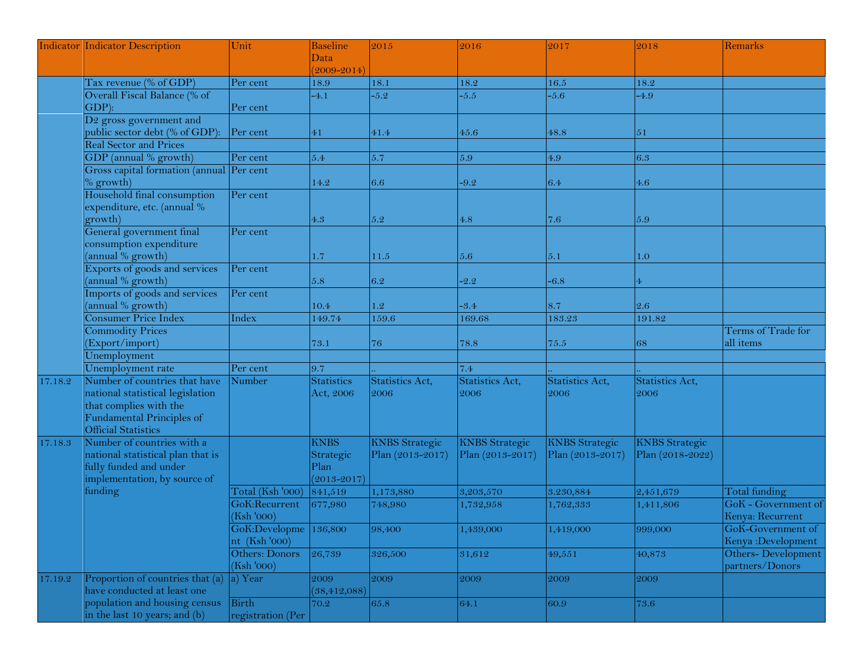|         | Indicator Indicator Description                                                                                                                        | Unit                                   | <b>Baseline</b>                                     | 2015                                      | 2016                                      | 2017                                      | 2018                                      | Remarks                                 |
|---------|--------------------------------------------------------------------------------------------------------------------------------------------------------|----------------------------------------|-----------------------------------------------------|-------------------------------------------|-------------------------------------------|-------------------------------------------|-------------------------------------------|-----------------------------------------|
|         |                                                                                                                                                        |                                        | Data                                                |                                           |                                           |                                           |                                           |                                         |
|         |                                                                                                                                                        |                                        | $(2009 - 2014)$                                     |                                           |                                           |                                           |                                           |                                         |
|         | Tax revenue (% of GDP)                                                                                                                                 | Per cent                               | 18.9                                                | 18.1                                      | 18.2                                      | 16.5                                      | 18.2                                      |                                         |
|         | Overall Fiscal Balance (% of<br>$GDP$ :                                                                                                                | Per cent                               | $-4.1$                                              | $-5.2$                                    | $-5.5$                                    | $-5.6$                                    | $-4.9$                                    |                                         |
|         | D <sub>2</sub> gross government and<br>public sector debt (% of GDP):                                                                                  | Per cent                               | 41                                                  | 41.4                                      | 45.6                                      | 48.8                                      | $5\sqrt{1}$                               |                                         |
|         | <b>Real Sector and Prices</b>                                                                                                                          |                                        |                                                     |                                           |                                           |                                           |                                           |                                         |
|         | GDP (annual % growth)                                                                                                                                  | Per cent                               | 5.4                                                 | 5.7                                       | 5.9                                       | $4.9\,$                                   | 6.3                                       |                                         |
|         | Gross capital formation (annual Per cent<br>$\%$ growth)                                                                                               |                                        | 14.2                                                | 6.6                                       | $-9.2$                                    | 6.4                                       | 4.6                                       |                                         |
|         | Household final consumption<br>expenditure, etc. (annual %<br>growth)                                                                                  | Per cent                               | 4.3                                                 | $5.2\,$                                   | 4.8                                       | 7.6                                       | 5.9                                       |                                         |
|         | General government final<br>consumption expenditure                                                                                                    | Per cent                               |                                                     |                                           |                                           |                                           |                                           |                                         |
|         | (annual % growth)                                                                                                                                      |                                        | 1.7                                                 | 11.5                                      | 5.6                                       | 5.1                                       | 1.0                                       |                                         |
|         | Exports of goods and services<br>annual % growth)                                                                                                      | Per cent                               | 5.8                                                 | 6.2                                       | $-2.2$                                    | $-6.8$                                    |                                           |                                         |
|         | Imports of goods and services<br>annual % growth)                                                                                                      | Per cent                               | 10.4                                                | 1.2                                       | $-3.4$                                    | 8.7                                       | 2.6                                       |                                         |
|         | Consumer Price Index                                                                                                                                   | Index                                  | 149.74                                              | 159.6                                     | 169.68                                    | 183.23                                    | 191.82                                    |                                         |
|         | Commodity Prices<br>Export/import)                                                                                                                     |                                        | 73.1                                                | 76                                        | 78.8                                      | 75.5                                      | 68                                        | Terms of Trade for<br>all items         |
|         | Unemployment                                                                                                                                           |                                        |                                                     |                                           |                                           |                                           |                                           |                                         |
|         | Unemployment rate                                                                                                                                      | Per cent                               | 9.7                                                 |                                           | 7.4                                       |                                           |                                           |                                         |
| 17.18.2 | Number of countries that have<br>national statistical legislation<br>that complies with the<br>Fundamental Principles of<br><b>Official Statistics</b> | Number                                 | <b>Statistics</b><br>Act, 2006                      | Statistics Act,<br>2006                   | Statistics Act,<br>2006                   | Statistics Act,<br>2006                   | Statistics Act,<br>2006                   |                                         |
| 17.18.3 | Number of countries with a<br>national statistical plan that is<br>fully funded and under<br>implementation, by source of                              |                                        | <b>KNBS</b><br>Strategic<br>Plan<br>$(2013 - 2017)$ | <b>KNBS</b> Strategic<br>Plan (2013-2017) | <b>KNBS</b> Strategic<br>Plan (2013-2017) | <b>KNBS</b> Strategic<br>Plan (2013-2017) | <b>KNBS</b> Strategic<br>Plan (2018-2022) |                                         |
|         | funding                                                                                                                                                | Total (Ksh '000)                       | 841,519                                             | 1,173,880                                 | 3,203,570                                 | 3.230,884                                 | 2,451,679                                 | Total funding                           |
|         |                                                                                                                                                        | GoK:Recurrent<br>(Ksh '000)            | 677,980                                             | 748,980                                   | 1,732,958                                 | 1,762,333                                 | 1,411,806                                 | GoK - Government of<br>Kenya: Recurrent |
|         |                                                                                                                                                        | GoK:Developme 136,800<br>nt (Ksh '000) |                                                     | 98,400                                    | 1,439,000                                 | 1,419,000                                 | 999,000                                   | GoK-Government of<br>Kenya: Development |
|         |                                                                                                                                                        | Others: Donors<br>(Ksh '000)           | 26,739                                              | 326,500                                   | 31,612                                    | 49,551                                    | 40,873                                    | Others-Development<br>partners/Donors   |
| 17.19.2 | Proportion of countries that (a)<br>have conducted at least one                                                                                        | a) Year                                | 2009<br>(38, 412, 088)                              | 2009                                      | 2009                                      | 2009                                      | 2009                                      |                                         |
|         | population and housing census<br>in the last 10 years; and (b)                                                                                         | <b>Birth</b><br>registration (Per      | 70.2                                                | 65.8                                      | 64.1                                      | 60.9                                      | 73.6                                      |                                         |